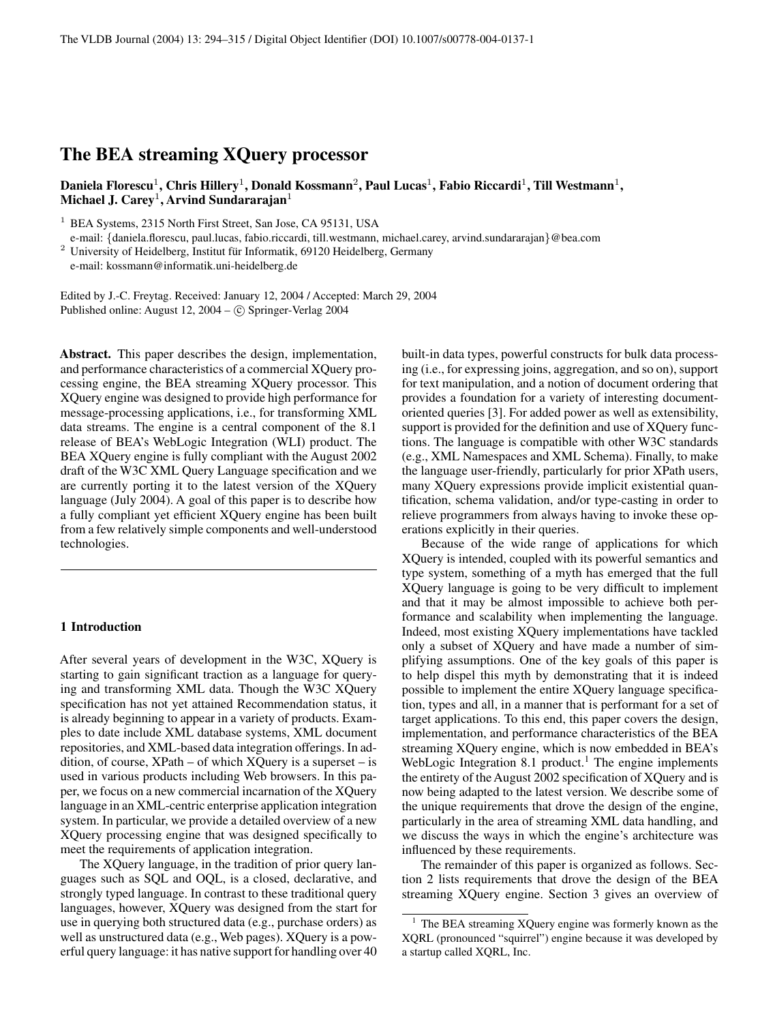# **The BEA streaming XQuery processor**

# **Daniela Florescu**<sup>1</sup>**, Chris Hillery**<sup>1</sup>**, Donald Kossmann**<sup>2</sup>**, Paul Lucas**<sup>1</sup>**, Fabio Riccardi**<sup>1</sup>**, Till Westmann**<sup>1</sup>**, Michael J. Carey**<sup>1</sup>**, Arvind Sundararajan**<sup>1</sup>

<sup>1</sup> BEA Systems, 2315 North First Street, San Jose, CA 95131, USA

e-mail: {daniela.florescu, paul.lucas, fabio.riccardi, till.westmann, michael.carey, arvind.sundararajan}@bea.com <sup>2</sup> University of Heidelberg, Institut für Informatik, 69120 Heidelberg, Germany

e-mail: kossmann@informatik.uni-heidelberg.de

Edited by J.-C. Freytag. Received: January 12, 2004 / Accepted: March 29, 2004 Published online: August 12,  $2004 - C$  Springer-Verlag 2004

**Abstract.** This paper describes the design, implementation, and performance characteristics of a commercial XQuery processing engine, the BEA streaming XQuery processor. This XQuery engine was designed to provide high performance for message-processing applications, i.e., for transforming XML data streams. The engine is a central component of the 8.1 release of BEA's WebLogic Integration (WLI) product. The BEA XQuery engine is fully compliant with the August 2002 draft of the W3C XML Query Language specification and we are currently porting it to the latest version of the XQuery language (July 2004). A goal of this paper is to describe how a fully compliant yet efficient XQuery engine has been built from a few relatively simple components and well-understood technologies.

# **1 Introduction**

After several years of development in the W3C, XQuery is starting to gain significant traction as a language for querying and transforming XML data. Though the W3C XQuery specification has not yet attained Recommendation status, it is already beginning to appear in a variety of products. Examples to date include XML database systems, XML document repositories, and XML-based data integration offerings. In addition, of course, XPath – of which XQuery is a superset – is used in various products including Web browsers. In this paper, we focus on a new commercial incarnation of the XQuery language in an XML-centric enterprise application integration system. In particular, we provide a detailed overview of a new XQuery processing engine that was designed specifically to meet the requirements of application integration.

The XQuery language, in the tradition of prior query languages such as SQL and OQL, is a closed, declarative, and strongly typed language. In contrast to these traditional query languages, however, XQuery was designed from the start for use in querying both structured data (e.g., purchase orders) as well as unstructured data (e.g., Web pages). XOuery is a powerful query language: it has native support for handling over 40 built-in data types, powerful constructs for bulk data processing (i.e., for expressing joins, aggregation, and so on), support for text manipulation, and a notion of document ordering that provides a foundation for a variety of interesting documentoriented queries [3]. For added power as well as extensibility, support is provided for the definition and use of XQuery functions. The language is compatible with other W3C standards (e.g., XML Namespaces and XML Schema). Finally, to make the language user-friendly, particularly for prior XPath users, many XQuery expressions provide implicit existential quantification, schema validation, and/or type-casting in order to relieve programmers from always having to invoke these operations explicitly in their queries.

Because of the wide range of applications for which XQuery is intended, coupled with its powerful semantics and type system, something of a myth has emerged that the full XQuery language is going to be very difficult to implement and that it may be almost impossible to achieve both performance and scalability when implementing the language. Indeed, most existing XQuery implementations have tackled only a subset of XQuery and have made a number of simplifying assumptions. One of the key goals of this paper is to help dispel this myth by demonstrating that it is indeed possible to implement the entire XQuery language specification, types and all, in a manner that is performant for a set of target applications. To this end, this paper covers the design, implementation, and performance characteristics of the BEA streaming XQuery engine, which is now embedded in BEA's WebLogic Integration  $8.1$  product.<sup>1</sup> The engine implements the entirety of the August 2002 specification of XQuery and is now being adapted to the latest version. We describe some of the unique requirements that drove the design of the engine, particularly in the area of streaming XML data handling, and we discuss the ways in which the engine's architecture was influenced by these requirements.

The remainder of this paper is organized as follows. Section 2 lists requirements that drove the design of the BEA streaming XQuery engine. Section 3 gives an overview of

<sup>&</sup>lt;sup>1</sup> The BEA streaming XQuery engine was formerly known as the XQRL (pronounced "squirrel") engine because it was developed by a startup called XQRL, Inc.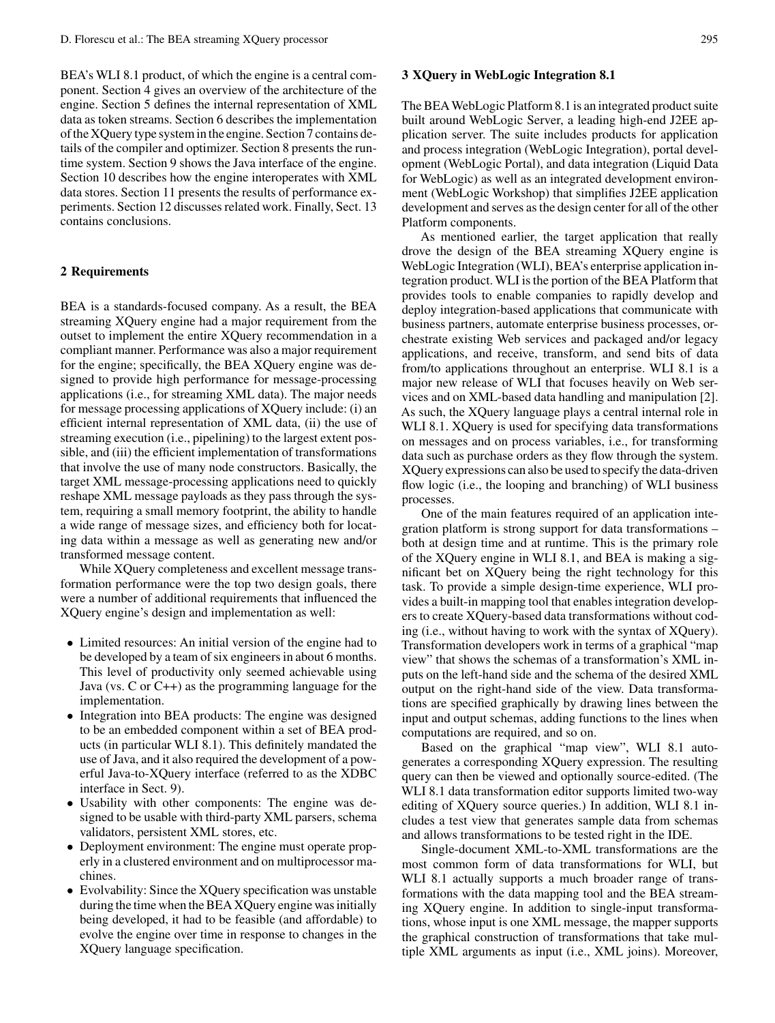BEA's WLI 8.1 product, of which the engine is a central component. Section 4 gives an overview of the architecture of the engine. Section 5 defines the internal representation of XML data as token streams. Section 6 describes the implementation of the XQuery type system in the engine. Section 7 contains details of the compiler and optimizer. Section 8 presents the runtime system. Section 9 shows the Java interface of the engine. Section 10 describes how the engine interoperates with XML data stores. Section 11 presents the results of performance experiments. Section 12 discusses related work. Finally, Sect. 13 contains conclusions.

### **2 Requirements**

BEA is a standards-focused company. As a result, the BEA streaming XQuery engine had a major requirement from the outset to implement the entire XQuery recommendation in a compliant manner. Performance was also a major requirement for the engine; specifically, the BEA XQuery engine was designed to provide high performance for message-processing applications (i.e., for streaming XML data). The major needs for message processing applications of XQuery include: (i) an efficient internal representation of XML data, (ii) the use of streaming execution (i.e., pipelining) to the largest extent possible, and (iii) the efficient implementation of transformations that involve the use of many node constructors. Basically, the target XML message-processing applications need to quickly reshape XML message payloads as they pass through the system, requiring a small memory footprint, the ability to handle a wide range of message sizes, and efficiency both for locating data within a message as well as generating new and/or transformed message content.

While XQuery completeness and excellent message transformation performance were the top two design goals, there were a number of additional requirements that influenced the XQuery engine's design and implementation as well:

- Limited resources: An initial version of the engine had to be developed by a team of six engineers in about 6 months. This level of productivity only seemed achievable using Java (vs. C or C++) as the programming language for the implementation.
- Integration into BEA products: The engine was designed to be an embedded component within a set of BEA products (in particular WLI 8.1). This definitely mandated the use of Java, and it also required the development of a powerful Java-to-XQuery interface (referred to as the XDBC interface in Sect. 9).
- Usability with other components: The engine was designed to be usable with third-party XML parsers, schema validators, persistent XML stores, etc.
- Deployment environment: The engine must operate properly in a clustered environment and on multiprocessor machines.
- Evolvability: Since the XQuery specification was unstable during the time when the BEA XQuery engine was initially being developed, it had to be feasible (and affordable) to evolve the engine over time in response to changes in the XQuery language specification.

# **3 XQuery in WebLogic Integration 8.1**

The BEAWebLogic Platform 8.1 is an integrated product suite built around WebLogic Server, a leading high-end J2EE application server. The suite includes products for application and process integration (WebLogic Integration), portal development (WebLogic Portal), and data integration (Liquid Data for WebLogic) as well as an integrated development environment (WebLogic Workshop) that simplifies J2EE application development and serves as the design center for all of the other Platform components.

As mentioned earlier, the target application that really drove the design of the BEA streaming XQuery engine is WebLogic Integration (WLI), BEA's enterprise application integration product.WLI is the portion of the BEA Platform that provides tools to enable companies to rapidly develop and deploy integration-based applications that communicate with business partners, automate enterprise business processes, orchestrate existing Web services and packaged and/or legacy applications, and receive, transform, and send bits of data from/to applications throughout an enterprise. WLI 8.1 is a major new release of WLI that focuses heavily on Web services and on XML-based data handling and manipulation [2]. As such, the XQuery language plays a central internal role in WLI 8.1. XQuery is used for specifying data transformations on messages and on process variables, i.e., for transforming data such as purchase orders as they flow through the system. XQuery expressions can also be used to specify the data-driven flow logic (i.e., the looping and branching) of WLI business processes.

One of the main features required of an application integration platform is strong support for data transformations – both at design time and at runtime. This is the primary role of the XQuery engine in WLI 8.1, and BEA is making a significant bet on XQuery being the right technology for this task. To provide a simple design-time experience, WLI provides a built-in mapping tool that enables integration developers to create XQuery-based data transformations without coding (i.e., without having to work with the syntax of XQuery). Transformation developers work in terms of a graphical "map view" that shows the schemas of a transformation's XML inputs on the left-hand side and the schema of the desired XML output on the right-hand side of the view. Data transformations are specified graphically by drawing lines between the input and output schemas, adding functions to the lines when computations are required, and so on.

Based on the graphical "map view", WLI 8.1 autogenerates a corresponding XQuery expression. The resulting query can then be viewed and optionally source-edited. (The WLI 8.1 data transformation editor supports limited two-way editing of XQuery source queries.) In addition, WLI 8.1 includes a test view that generates sample data from schemas and allows transformations to be tested right in the IDE.

Single-document XML-to-XML transformations are the most common form of data transformations for WLI, but WLI 8.1 actually supports a much broader range of transformations with the data mapping tool and the BEA streaming XQuery engine. In addition to single-input transformations, whose input is one XML message, the mapper supports the graphical construction of transformations that take multiple XML arguments as input (i.e., XML joins). Moreover,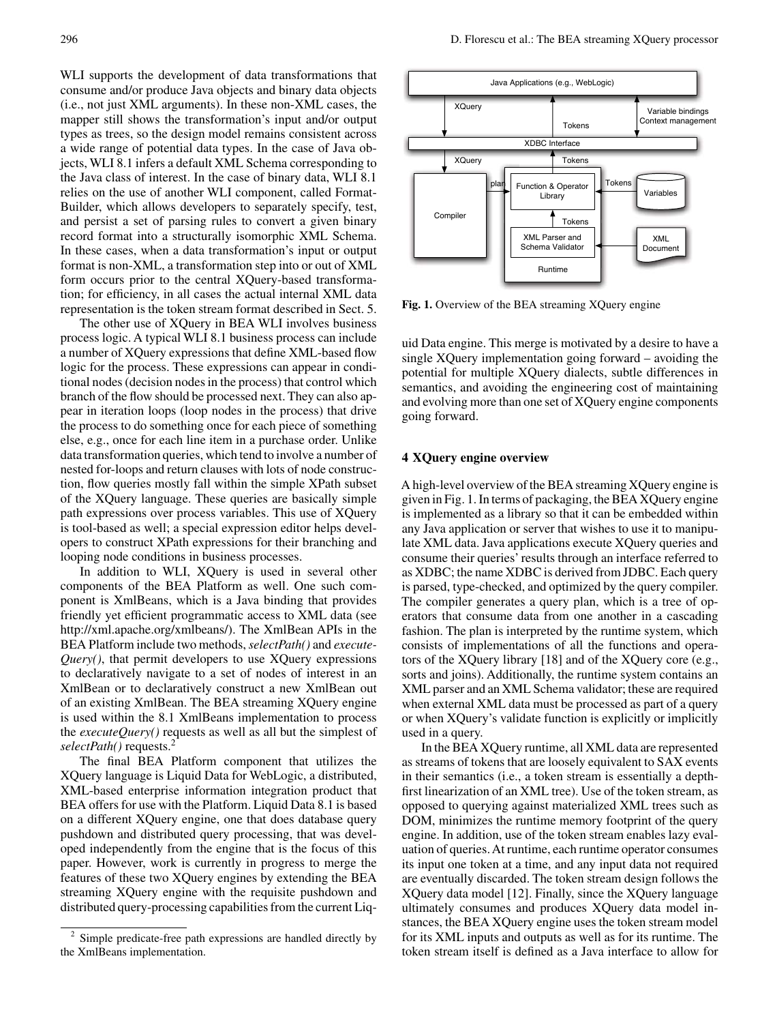WLI supports the development of data transformations that consume and/or produce Java objects and binary data objects (i.e., not just XML arguments). In these non-XML cases, the mapper still shows the transformation's input and/or output types as trees, so the design model remains consistent across a wide range of potential data types. In the case of Java objects, WLI 8.1 infers a default XML Schema corresponding to the Java class of interest. In the case of binary data, WLI 8.1 relies on the use of another WLI component, called Format-Builder, which allows developers to separately specify, test, and persist a set of parsing rules to convert a given binary record format into a structurally isomorphic XML Schema. In these cases, when a data transformation's input or output format is non-XML, a transformation step into or out of XML form occurs prior to the central XQuery-based transformation; for efficiency, in all cases the actual internal XML data representation is the token stream format described in Sect. 5.

The other use of XQuery in BEA WLI involves business process logic. A typical WLI 8.1 business process can include a number of XQuery expressions that define XML-based flow logic for the process. These expressions can appear in conditional nodes (decision nodes in the process) that control which branch of the flow should be processed next. They can also appear in iteration loops (loop nodes in the process) that drive the process to do something once for each piece of something else, e.g., once for each line item in a purchase order. Unlike data transformation queries, which tend to involve a number of nested for-loops and return clauses with lots of node construction, flow queries mostly fall within the simple XPath subset of the XQuery language. These queries are basically simple path expressions over process variables. This use of XQuery is tool-based as well; a special expression editor helps developers to construct XPath expressions for their branching and looping node conditions in business processes.

In addition to WLI, XQuery is used in several other components of the BEA Platform as well. One such component is XmlBeans, which is a Java binding that provides friendly yet efficient programmatic access to XML data (see http://xml.apache.org/xmlbeans/). The XmlBean APIs in the BEA Platform include two methods,*selectPath()* and *execute-Query()*, that permit developers to use XQuery expressions to declaratively navigate to a set of nodes of interest in an XmlBean or to declaratively construct a new XmlBean out of an existing XmlBean. The BEA streaming XQuery engine is used within the 8.1 XmlBeans implementation to process the *executeQuery()* requests as well as all but the simplest of *selectPath()* requests.<sup>2</sup>

The final BEA Platform component that utilizes the XQuery language is Liquid Data for WebLogic, a distributed, XML-based enterprise information integration product that BEA offers for use with the Platform. Liquid Data 8.1 is based on a different XQuery engine, one that does database query pushdown and distributed query processing, that was developed independently from the engine that is the focus of this paper. However, work is currently in progress to merge the features of these two XQuery engines by extending the BEA streaming XQuery engine with the requisite pushdown and distributed query-processing capabilities from the current Liq-



**Fig. 1.** Overview of the BEA streaming XQuery engine

uid Data engine. This merge is motivated by a desire to have a single XQuery implementation going forward – avoiding the potential for multiple XQuery dialects, subtle differences in semantics, and avoiding the engineering cost of maintaining and evolving more than one set of XQuery engine components going forward.

### **4 XQuery engine overview**

A high-level overview of the BEA streaming XQuery engine is given in Fig. 1. In terms of packaging, the BEA XQuery engine is implemented as a library so that it can be embedded within any Java application or server that wishes to use it to manipulate XML data. Java applications execute XQuery queries and consume their queries' results through an interface referred to as XDBC; the name XDBC is derived from JDBC. Each query is parsed, type-checked, and optimized by the query compiler. The compiler generates a query plan, which is a tree of operators that consume data from one another in a cascading fashion. The plan is interpreted by the runtime system, which consists of implementations of all the functions and operators of the XQuery library [18] and of the XQuery core (e.g., sorts and joins). Additionally, the runtime system contains an XML parser and an XML Schema validator; these are required when external XML data must be processed as part of a query or when XQuery's validate function is explicitly or implicitly used in a query.

In the BEA XQuery runtime, all XML data are represented as streams of tokens that are loosely equivalent to SAX events in their semantics (i.e., a token stream is essentially a depthfirst linearization of an XML tree). Use of the token stream, as opposed to querying against materialized XML trees such as DOM, minimizes the runtime memory footprint of the query engine. In addition, use of the token stream enables lazy evaluation of queries.At runtime, each runtime operator consumes its input one token at a time, and any input data not required are eventually discarded. The token stream design follows the XQuery data model [12]. Finally, since the XQuery language ultimately consumes and produces XQuery data model instances, the BEA XQuery engine uses the token stream model for its XML inputs and outputs as well as for its runtime. The token stream itself is defined as a Java interface to allow for

Simple predicate-free path expressions are handled directly by the XmlBeans implementation.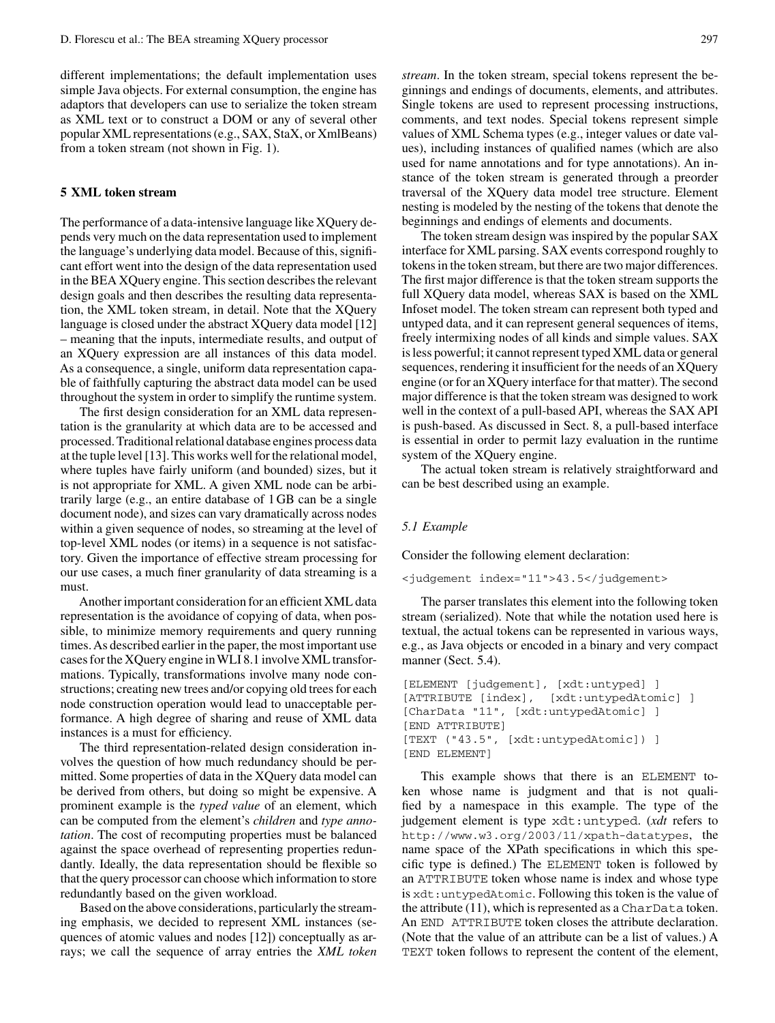different implementations; the default implementation uses simple Java objects. For external consumption, the engine has adaptors that developers can use to serialize the token stream as XML text or to construct a DOM or any of several other popular XML representations (e.g., SAX, StaX, or XmlBeans) from a token stream (not shown in Fig. 1).

### **5 XML token stream**

The performance of a data-intensive language like XQuery depends very much on the data representation used to implement the language's underlying data model. Because of this, significant effort went into the design of the data representation used in the BEA XQuery engine. This section describes the relevant design goals and then describes the resulting data representation, the XML token stream, in detail. Note that the XQuery language is closed under the abstract XQuery data model [12] – meaning that the inputs, intermediate results, and output of an XQuery expression are all instances of this data model. As a consequence, a single, uniform data representation capable of faithfully capturing the abstract data model can be used throughout the system in order to simplify the runtime system.

The first design consideration for an XML data representation is the granularity at which data are to be accessed and processed. Traditional relational database engines process data at the tuple level [13]. This works well for the relational model, where tuples have fairly uniform (and bounded) sizes, but it is not appropriate for XML. A given XML node can be arbitrarily large (e.g., an entire database of 1 GB can be a single document node), and sizes can vary dramatically across nodes within a given sequence of nodes, so streaming at the level of top-level XML nodes (or items) in a sequence is not satisfactory. Given the importance of effective stream processing for our use cases, a much finer granularity of data streaming is a must.

Another important consideration for an efficient XML data representation is the avoidance of copying of data, when possible, to minimize memory requirements and query running times.As described earlier in the paper, the most important use cases for the XQuery engine inWLI 8.1 involve XML transformations. Typically, transformations involve many node constructions; creating new trees and/or copying old trees for each node construction operation would lead to unacceptable performance. A high degree of sharing and reuse of XML data instances is a must for efficiency.

The third representation-related design consideration involves the question of how much redundancy should be permitted. Some properties of data in the XQuery data model can be derived from others, but doing so might be expensive. A prominent example is the *typed value* of an element, which can be computed from the element's *children* and *type annotation*. The cost of recomputing properties must be balanced against the space overhead of representing properties redundantly. Ideally, the data representation should be flexible so that the query processor can choose which information to store redundantly based on the given workload.

Based on the above considerations, particularly the streaming emphasis, we decided to represent XML instances (sequences of atomic values and nodes [12]) conceptually as arrays; we call the sequence of array entries the *XML token* *stream*. In the token stream, special tokens represent the beginnings and endings of documents, elements, and attributes. Single tokens are used to represent processing instructions, comments, and text nodes. Special tokens represent simple values of XML Schema types (e.g., integer values or date values), including instances of qualified names (which are also used for name annotations and for type annotations). An instance of the token stream is generated through a preorder traversal of the XQuery data model tree structure. Element nesting is modeled by the nesting of the tokens that denote the beginnings and endings of elements and documents.

The token stream design was inspired by the popular SAX interface for XML parsing. SAX events correspond roughly to tokens in the token stream, but there are two major differences. The first major difference is that the token stream supports the full XQuery data model, whereas SAX is based on the XML Infoset model. The token stream can represent both typed and untyped data, and it can represent general sequences of items, freely intermixing nodes of all kinds and simple values. SAX is less powerful; it cannot represent typed XML data or general sequences, rendering it insufficient for the needs of an XQuery engine (or for an XQuery interface for that matter). The second major difference is that the token stream was designed to work well in the context of a pull-based API, whereas the SAX API is push-based. As discussed in Sect. 8, a pull-based interface is essential in order to permit lazy evaluation in the runtime system of the XQuery engine.

The actual token stream is relatively straightforward and can be best described using an example.

# *5.1 Example*

Consider the following element declaration:

<judgement index="11">43.5</judgement>

The parser translates this element into the following token stream (serialized). Note that while the notation used here is textual, the actual tokens can be represented in various ways, e.g., as Java objects or encoded in a binary and very compact manner (Sect. 5.4).

```
[ELEMENT [judgement], [xdt:untyped] ]
[ATTRIBUTE [index], [xdt:untypedAtomic] ]
[CharData "11", [xdt:untypedAtomic] ]
[END ATTRIBUTE]
[TEXT ("43.5", [xdt:untypedAtomic]) ]
[END ELEMENT]
```
This example shows that there is an ELEMENT token whose name is judgment and that is not qualified by a namespace in this example. The type of the judgement element is type xdt:untyped. (*xdt* refers to http://www.w3.org/2003/11/xpath-datatypes, the name space of the XPath specifications in which this specific type is defined.) The ELEMENT token is followed by an ATTRIBUTE token whose name is index and whose type is xdt:untypedAtomic. Following this token is the value of the attribute (11), which is represented as a CharData token. An END ATTRIBUTE token closes the attribute declaration. (Note that the value of an attribute can be a list of values.) A TEXT token follows to represent the content of the element,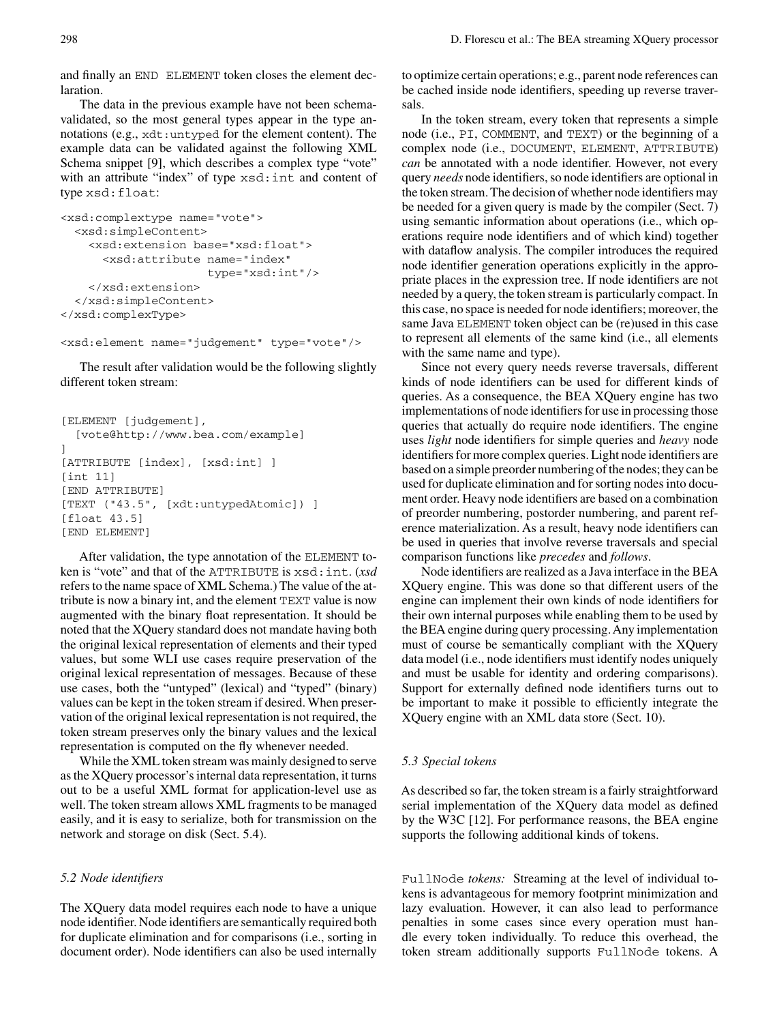and finally an END ELEMENT token closes the element declaration.

The data in the previous example have not been schemavalidated, so the most general types appear in the type annotations (e.g., xdt:untyped for the element content). The example data can be validated against the following XML Schema snippet [9], which describes a complex type "vote" with an attribute "index" of type  $xsd$ : int and content of type xsd:float:

```
<xsd:complextype name="vote">
  <xsd:simpleContent>
    <xsd:extension base="xsd:float">
      <xsd:attribute name="index"
                     type="xsd:int"/>
    </xsd:extension>
  </xsd:simpleContent>
</xsd:complexType>
```
<xsd:element name="judgement" type="vote"/>

The result after validation would be the following slightly different token stream:

```
[ELEMENT [judgement],
  [vote@http://www.bea.com/example]
]
[ATTRIBUTE [index], [xsd:int] ]
[int 11]
[END ATTRIBUTE]
[TEXT ("43.5", [xdt:untypedAtomic]) ]
[float 43.5]
[END ELEMENT]
```
After validation, the type annotation of the ELEMENT token is "vote" and that of the ATTRIBUTE is xsd:int. (*xsd* refers to the name space of XML Schema.) The value of the attribute is now a binary int, and the element TEXT value is now augmented with the binary float representation. It should be noted that the XQuery standard does not mandate having both the original lexical representation of elements and their typed values, but some WLI use cases require preservation of the original lexical representation of messages. Because of these use cases, both the "untyped" (lexical) and "typed" (binary) values can be kept in the token stream if desired. When preservation of the original lexical representation is not required, the token stream preserves only the binary values and the lexical representation is computed on the fly whenever needed.

While the XML token stream was mainly designed to serve as the XQuery processor's internal data representation, it turns out to be a useful XML format for application-level use as well. The token stream allows XML fragments to be managed easily, and it is easy to serialize, both for transmission on the network and storage on disk (Sect. 5.4).

### *5.2 Node identifiers*

The XQuery data model requires each node to have a unique node identifier. Node identifiers are semantically required both for duplicate elimination and for comparisons (i.e., sorting in document order). Node identifiers can also be used internally to optimize certain operations; e.g., parent node references can be cached inside node identifiers, speeding up reverse traversals.

In the token stream, every token that represents a simple node (i.e., PI, COMMENT, and TEXT) or the beginning of a complex node (i.e., DOCUMENT, ELEMENT, ATTRIBUTE) *can* be annotated with a node identifier. However, not every query *needs* node identifiers, so node identifiers are optional in the token stream. The decision of whether node identifiers may be needed for a given query is made by the compiler (Sect. 7) using semantic information about operations (i.e., which operations require node identifiers and of which kind) together with dataflow analysis. The compiler introduces the required node identifier generation operations explicitly in the appropriate places in the expression tree. If node identifiers are not needed by a query, the token stream is particularly compact. In this case, no space is needed for node identifiers; moreover, the same Java ELEMENT token object can be (re)used in this case to represent all elements of the same kind (i.e., all elements with the same name and type).

Since not every query needs reverse traversals, different kinds of node identifiers can be used for different kinds of queries. As a consequence, the BEA XQuery engine has two implementations of node identifiers for use in processing those queries that actually do require node identifiers. The engine uses *light* node identifiers for simple queries and *heavy* node identifiers for more complex queries. Light node identifiers are based on a simple preorder numbering of the nodes; they can be used for duplicate elimination and for sorting nodes into document order. Heavy node identifiers are based on a combination of preorder numbering, postorder numbering, and parent reference materialization. As a result, heavy node identifiers can be used in queries that involve reverse traversals and special comparison functions like *precedes* and *follows*.

Node identifiers are realized as a Java interface in the BEA XQuery engine. This was done so that different users of the engine can implement their own kinds of node identifiers for their own internal purposes while enabling them to be used by the BEA engine during query processing.Any implementation must of course be semantically compliant with the XQuery data model (i.e., node identifiers must identify nodes uniquely and must be usable for identity and ordering comparisons). Support for externally defined node identifiers turns out to be important to make it possible to efficiently integrate the XQuery engine with an XML data store (Sect. 10).

#### *5.3 Special tokens*

As described so far, the token stream is a fairly straightforward serial implementation of the XQuery data model as defined by the W3C [12]. For performance reasons, the BEA engine supports the following additional kinds of tokens.

FullNode *tokens:* Streaming at the level of individual tokens is advantageous for memory footprint minimization and lazy evaluation. However, it can also lead to performance penalties in some cases since every operation must handle every token individually. To reduce this overhead, the token stream additionally supports FullNode tokens. A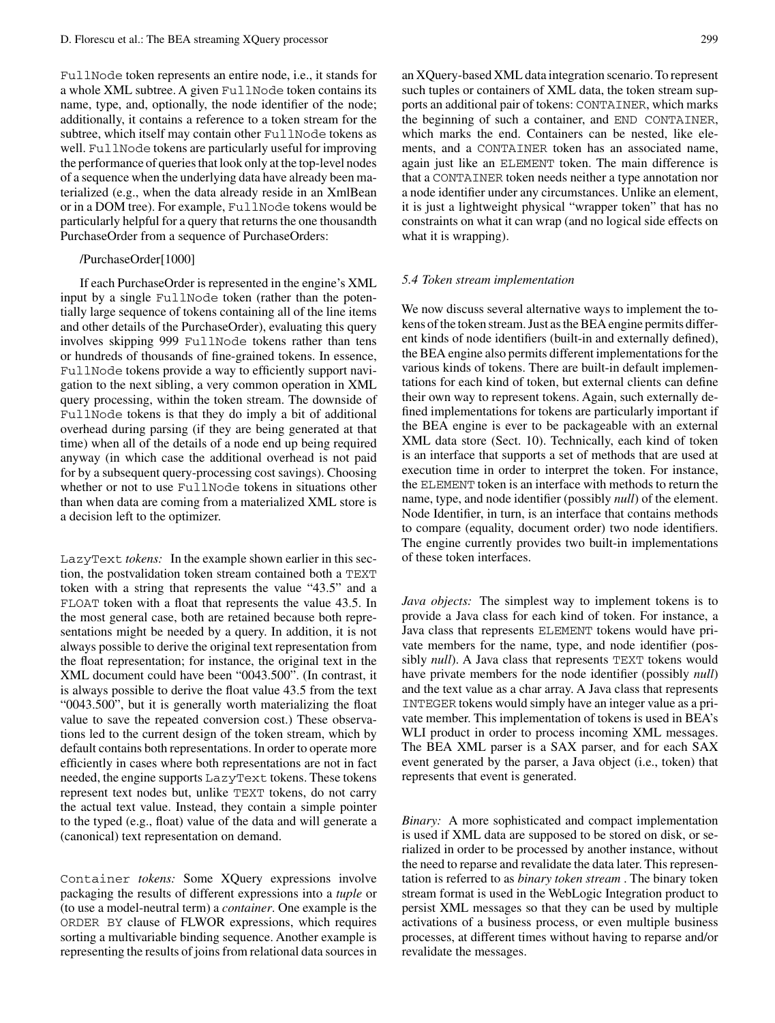FullNode token represents an entire node, i.e., it stands for a whole XML subtree. A given FullNode token contains its name, type, and, optionally, the node identifier of the node; additionally, it contains a reference to a token stream for the subtree, which itself may contain other FullNode tokens as well. FullNode tokens are particularly useful for improving the performance of queries that look only at the top-level nodes of a sequence when the underlying data have already been materialized (e.g., when the data already reside in an XmlBean or in a DOM tree). For example, FullNode tokens would be particularly helpful for a query that returns the one thousandth PurchaseOrder from a sequence of PurchaseOrders:

# /PurchaseOrder[1000]

If each PurchaseOrder is represented in the engine's XML input by a single FullNode token (rather than the potentially large sequence of tokens containing all of the line items and other details of the PurchaseOrder), evaluating this query involves skipping 999 FullNode tokens rather than tens or hundreds of thousands of fine-grained tokens. In essence, FullNode tokens provide a way to efficiently support navigation to the next sibling, a very common operation in XML query processing, within the token stream. The downside of FullNode tokens is that they do imply a bit of additional overhead during parsing (if they are being generated at that time) when all of the details of a node end up being required anyway (in which case the additional overhead is not paid for by a subsequent query-processing cost savings). Choosing whether or not to use FullNode tokens in situations other than when data are coming from a materialized XML store is a decision left to the optimizer.

LazyText *tokens:* In the example shown earlier in this section, the postvalidation token stream contained both a TEXT token with a string that represents the value "43.5" and a FLOAT token with a float that represents the value 43.5. In the most general case, both are retained because both representations might be needed by a query. In addition, it is not always possible to derive the original text representation from the float representation; for instance, the original text in the XML document could have been "0043.500". (In contrast, it is always possible to derive the float value 43.5 from the text "0043.500", but it is generally worth materializing the float value to save the repeated conversion cost.) These observations led to the current design of the token stream, which by default contains both representations. In order to operate more efficiently in cases where both representations are not in fact needed, the engine supports LazyText tokens. These tokens represent text nodes but, unlike TEXT tokens, do not carry the actual text value. Instead, they contain a simple pointer to the typed (e.g., float) value of the data and will generate a (canonical) text representation on demand.

Container *tokens:* Some XQuery expressions involve packaging the results of different expressions into a *tuple* or (to use a model-neutral term) a *container*. One example is the ORDER BY clause of FLWOR expressions, which requires sorting a multivariable binding sequence. Another example is representing the results of joins from relational data sources in an XQuery-based XML data integration scenario. To represent such tuples or containers of XML data, the token stream supports an additional pair of tokens: CONTAINER, which marks the beginning of such a container, and END CONTAINER, which marks the end. Containers can be nested, like elements, and a CONTAINER token has an associated name, again just like an ELEMENT token. The main difference is that a CONTAINER token needs neither a type annotation nor a node identifier under any circumstances. Unlike an element, it is just a lightweight physical "wrapper token" that has no constraints on what it can wrap (and no logical side effects on what it is wrapping).

### *5.4 Token stream implementation*

We now discuss several alternative ways to implement the tokens of the token stream. Just as the BEA engine permits different kinds of node identifiers (built-in and externally defined), the BEA engine also permits different implementations for the various kinds of tokens. There are built-in default implementations for each kind of token, but external clients can define their own way to represent tokens. Again, such externally defined implementations for tokens are particularly important if the BEA engine is ever to be packageable with an external XML data store (Sect. 10). Technically, each kind of token is an interface that supports a set of methods that are used at execution time in order to interpret the token. For instance, the ELEMENT token is an interface with methods to return the name, type, and node identifier (possibly *null*) of the element. Node Identifier, in turn, is an interface that contains methods to compare (equality, document order) two node identifiers. The engine currently provides two built-in implementations of these token interfaces.

*Java objects:* The simplest way to implement tokens is to provide a Java class for each kind of token. For instance, a Java class that represents ELEMENT tokens would have private members for the name, type, and node identifier (possibly *null*). A Java class that represents TEXT tokens would have private members for the node identifier (possibly *null*) and the text value as a char array. A Java class that represents INTEGER tokens would simply have an integer value as a private member. This implementation of tokens is used in BEA's WLI product in order to process incoming XML messages. The BEA XML parser is a SAX parser, and for each SAX event generated by the parser, a Java object (i.e., token) that represents that event is generated.

*Binary:* A more sophisticated and compact implementation is used if XML data are supposed to be stored on disk, or serialized in order to be processed by another instance, without the need to reparse and revalidate the data later. This representation is referred to as *binary token stream* . The binary token stream format is used in the WebLogic Integration product to persist XML messages so that they can be used by multiple activations of a business process, or even multiple business processes, at different times without having to reparse and/or revalidate the messages.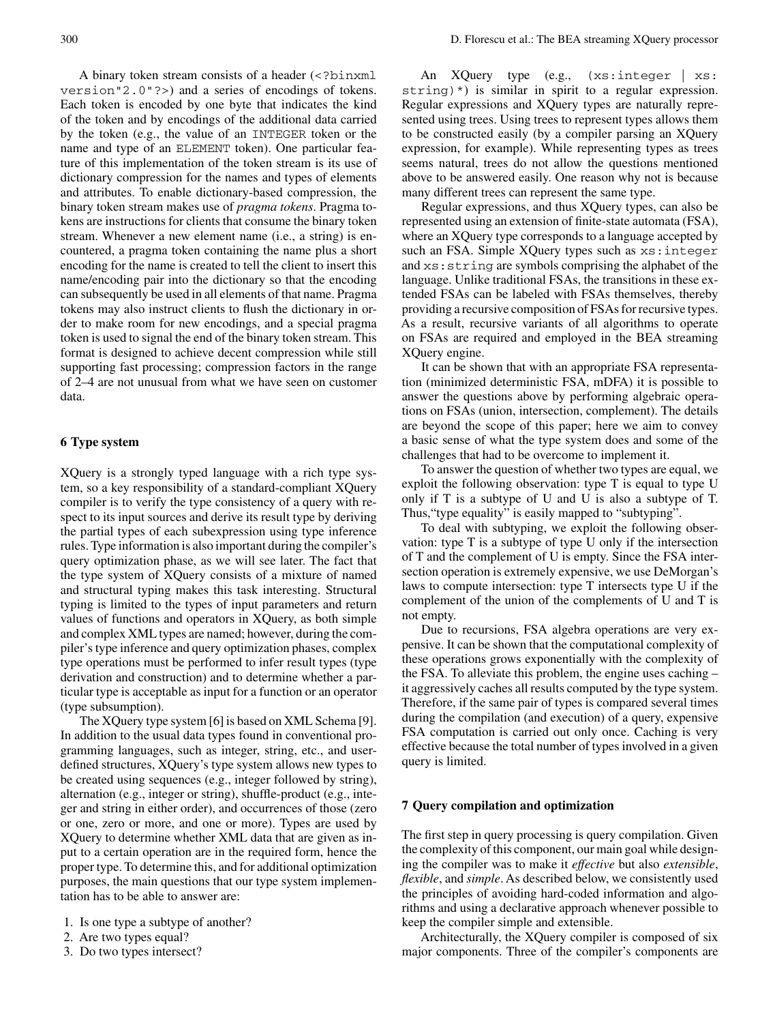A binary token stream consists of a header  $\leq$ ?binxml version"2.0"?>) and a series of encodings of tokens. Each token is encoded by one byte that indicates the kind of the token and by encodings of the additional data carried by the token (e.g., the value of an INTEGER token or the name and type of an ELEMENT token). One particular feature of this implementation of the token stream is its use of dictionary compression for the names and types of elements and attributes. To enable dictionary-based compression, the binary token stream makes use of *pragma tokens*. Pragma tokens are instructions for clients that consume the binary token stream. Whenever a new element name (i.e., a string) is encountered, a pragma token containing the name plus a short encoding for the name is created to tell the client to insert this name/encoding pair into the dictionary so that the encoding can subsequently be used in all elements of that name. Pragma tokens may also instruct clients to flush the dictionary in order to make room for new encodings, and a special pragma token is used to signal the end of the binary token stream. This format is designed to achieve decent compression while still supporting fast processing; compression factors in the range of 2–4 are not unusual from what we have seen on customer data.

### **6 Type system**

XQuery is a strongly typed language with a rich type system, so a key responsibility of a standard-compliant XQuery compiler is to verify the type consistency of a query with respect to its input sources and derive its result type by deriving the partial types of each subexpression using type inference rules. Type information is also important during the compiler's query optimization phase, as we will see later. The fact that the type system of XQuery consists of a mixture of named and structural typing makes this task interesting. Structural typing is limited to the types of input parameters and return values of functions and operators in XQuery, as both simple and complex XML types are named; however, during the compiler's type inference and query optimization phases, complex type operations must be performed to infer result types (type derivation and construction) and to determine whether a particular type is acceptable as input for a function or an operator (type subsumption).

The XQuery type system [6] is based on XML Schema [9]. In addition to the usual data types found in conventional programming languages, such as integer, string, etc., and userdefined structures, XQuery's type system allows new types to be created using sequences (e.g., integer followed by string), alternation (e.g., integer or string), shuffle-product (e.g., integer and string in either order), and occurrences of those (zero or one, zero or more, and one or more). Types are used by XQuery to determine whether XML data that are given as input to a certain operation are in the required form, hence the proper type. To determine this, and for additional optimization purposes, the main questions that our type system implementation has to be able to answer are:

- 1. Is one type a subtype of another?
- 2. Are two types equal?
- 3. Do two types intersect?

An XQuery type (e.g., (xs:integer | xs:  $string(*)$  is similar in spirit to a regular expression. Regular expressions and XQuery types are naturally represented using trees. Using trees to represent types allows them to be constructed easily (by a compiler parsing an XQuery expression, for example). While representing types as trees seems natural, trees do not allow the questions mentioned above to be answered easily. One reason why not is because many different trees can represent the same type.

Regular expressions, and thus XQuery types, can also be represented using an extension of finite-state automata (FSA), where an XQuery type corresponds to a language accepted by such an FSA. Simple XQuery types such as xs:integer and xs:string are symbols comprising the alphabet of the language. Unlike traditional FSAs, the transitions in these extended FSAs can be labeled with FSAs themselves, thereby providing a recursive composition of FSAs for recursive types. As a result, recursive variants of all algorithms to operate on FSAs are required and employed in the BEA streaming XQuery engine.

It can be shown that with an appropriate FSA representation (minimized deterministic FSA, mDFA) it is possible to answer the questions above by performing algebraic operations on FSAs (union, intersection, complement). The details are beyond the scope of this paper; here we aim to convey a basic sense of what the type system does and some of the challenges that had to be overcome to implement it.

To answer the question of whether two types are equal, we exploit the following observation: type T is equal to type U only if T is a subtype of U and U is also a subtype of T. Thus,"type equality" is easily mapped to "subtyping".

To deal with subtyping, we exploit the following observation: type T is a subtype of type U only if the intersection of T and the complement of U is empty. Since the FSA intersection operation is extremely expensive, we use DeMorgan's laws to compute intersection: type T intersects type U if the complement of the union of the complements of U and T is not empty.

Due to recursions, FSA algebra operations are very expensive. It can be shown that the computational complexity of these operations grows exponentially with the complexity of the FSA. To alleviate this problem, the engine uses caching – it aggressively caches all results computed by the type system. Therefore, if the same pair of types is compared several times during the compilation (and execution) of a query, expensive FSA computation is carried out only once. Caching is very effective because the total number of types involved in a given query is limited.

### **7 Query compilation and optimization**

The first step in query processing is query compilation. Given the complexity of this component, our main goal while designing the compiler was to make it *effective* but also *extensible*, *flexible*, and *simple*. As described below, we consistently used the principles of avoiding hard-coded information and algorithms and using a declarative approach whenever possible to keep the compiler simple and extensible.

Architecturally, the XQuery compiler is composed of six major components. Three of the compiler's components are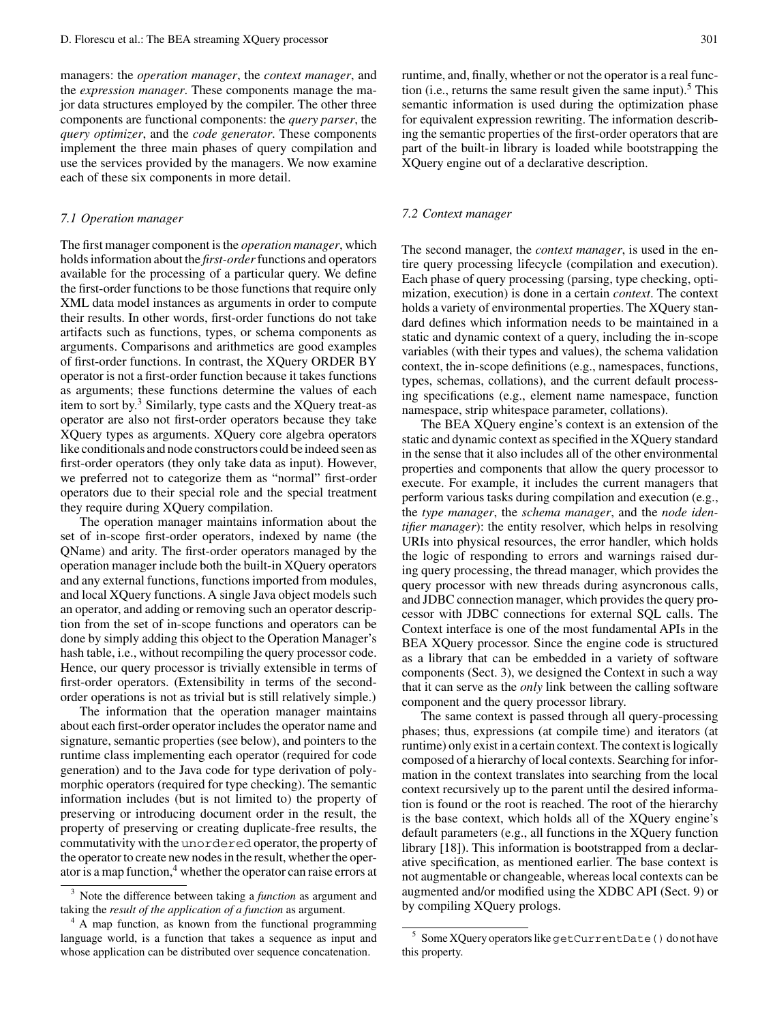managers: the *operation manager*, the *context manager*, and the *expression manager*. These components manage the major data structures employed by the compiler. The other three components are functional components: the *query parser*, the *query optimizer*, and the *code generator*. These components implement the three main phases of query compilation and use the services provided by the managers. We now examine each of these six components in more detail.

### *7.1 Operation manager*

The first manager component is the *operation manager*, which holds information about the *first-order*functions and operators available for the processing of a particular query. We define the first-order functions to be those functions that require only XML data model instances as arguments in order to compute their results. In other words, first-order functions do not take artifacts such as functions, types, or schema components as arguments. Comparisons and arithmetics are good examples of first-order functions. In contrast, the XQuery ORDER BY operator is not a first-order function because it takes functions as arguments; these functions determine the values of each item to sort by. $3$  Similarly, type casts and the XQuery treat-as operator are also not first-order operators because they take XQuery types as arguments. XQuery core algebra operators like conditionals and node constructors could be indeed seen as first-order operators (they only take data as input). However, we preferred not to categorize them as "normal" first-order operators due to their special role and the special treatment they require during XQuery compilation.

The operation manager maintains information about the set of in-scope first-order operators, indexed by name (the QName) and arity. The first-order operators managed by the operation manager include both the built-in XQuery operators and any external functions, functions imported from modules, and local XQuery functions. A single Java object models such an operator, and adding or removing such an operator description from the set of in-scope functions and operators can be done by simply adding this object to the Operation Manager's hash table, i.e., without recompiling the query processor code. Hence, our query processor is trivially extensible in terms of first-order operators. (Extensibility in terms of the secondorder operations is not as trivial but is still relatively simple.)

The information that the operation manager maintains about each first-order operator includes the operator name and signature, semantic properties (see below), and pointers to the runtime class implementing each operator (required for code generation) and to the Java code for type derivation of polymorphic operators (required for type checking). The semantic information includes (but is not limited to) the property of preserving or introducing document order in the result, the property of preserving or creating duplicate-free results, the commutativity with the unordered operator, the property of the operator to create new nodes in the result, whether the operator is a map function,<sup>4</sup> whether the operator can raise errors at runtime, and, finally, whether or not the operator is a real function (i.e., returns the same result given the same input).<sup>5</sup> This semantic information is used during the optimization phase for equivalent expression rewriting. The information describing the semantic properties of the first-order operators that are part of the built-in library is loaded while bootstrapping the XQuery engine out of a declarative description.

#### *7.2 Context manager*

The second manager, the *context manager*, is used in the entire query processing lifecycle (compilation and execution). Each phase of query processing (parsing, type checking, optimization, execution) is done in a certain *context*. The context holds a variety of environmental properties. The XQuery standard defines which information needs to be maintained in a static and dynamic context of a query, including the in-scope variables (with their types and values), the schema validation context, the in-scope definitions (e.g., namespaces, functions, types, schemas, collations), and the current default processing specifications (e.g., element name namespace, function namespace, strip whitespace parameter, collations).

The BEA XQuery engine's context is an extension of the static and dynamic context as specified in the XQuery standard in the sense that it also includes all of the other environmental properties and components that allow the query processor to execute. For example, it includes the current managers that perform various tasks during compilation and execution (e.g., the *type manager*, the *schema manager*, and the *node identifier manager*): the entity resolver, which helps in resolving URIs into physical resources, the error handler, which holds the logic of responding to errors and warnings raised during query processing, the thread manager, which provides the query processor with new threads during asyncronous calls, and JDBC connection manager, which provides the query processor with JDBC connections for external SQL calls. The Context interface is one of the most fundamental APIs in the BEA XQuery processor. Since the engine code is structured as a library that can be embedded in a variety of software components (Sect. 3), we designed the Context in such a way that it can serve as the *only* link between the calling software component and the query processor library.

The same context is passed through all query-processing phases; thus, expressions (at compile time) and iterators (at runtime) only exist in a certain context. The context is logically composed of a hierarchy of local contexts. Searching for information in the context translates into searching from the local context recursively up to the parent until the desired information is found or the root is reached. The root of the hierarchy is the base context, which holds all of the XQuery engine's default parameters (e.g., all functions in the XQuery function library [18]). This information is bootstrapped from a declarative specification, as mentioned earlier. The base context is not augmentable or changeable, whereas local contexts can be augmented and/or modified using the XDBC API (Sect. 9) or by compiling XQuery prologs.

<sup>3</sup> Note the difference between taking a *function* as argument and taking the *result of the application of a function* as argument.

<sup>4</sup> A map function, as known from the functional programming language world, is a function that takes a sequence as input and whose application can be distributed over sequence concatenation.

<sup>5</sup> Some XQuery operators like getCurrentDate() do not have this property.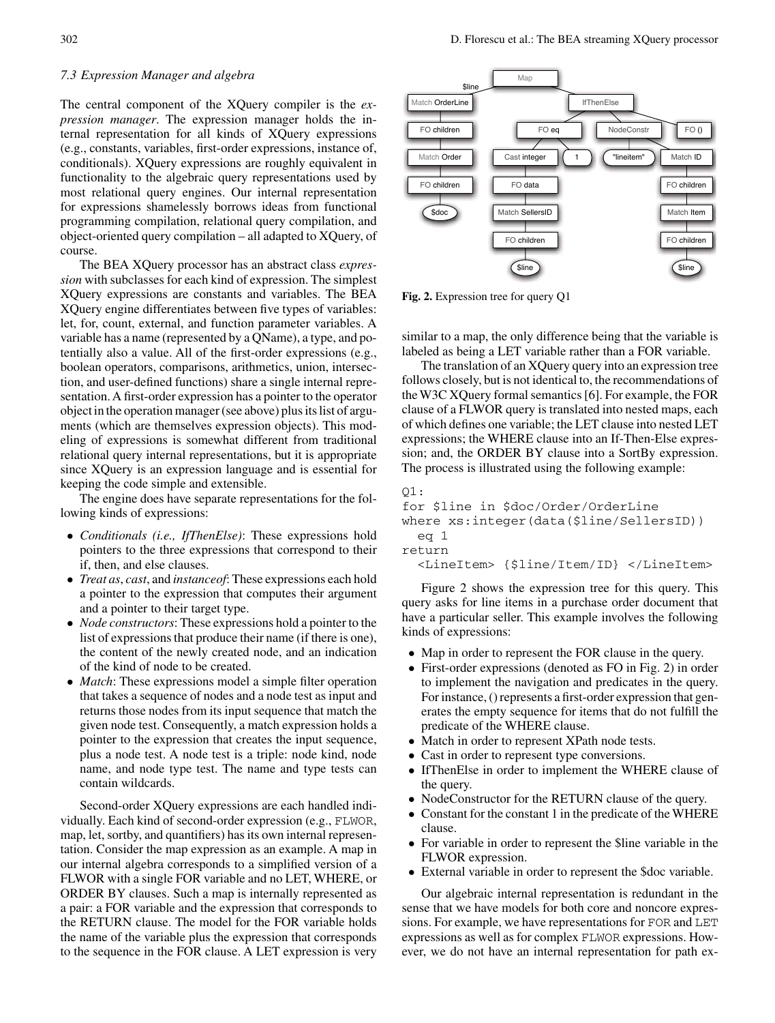#### *7.3 Expression Manager and algebra*

The central component of the XQuery compiler is the *expression manager*. The expression manager holds the internal representation for all kinds of XQuery expressions (e.g., constants, variables, first-order expressions, instance of, conditionals). XQuery expressions are roughly equivalent in functionality to the algebraic query representations used by most relational query engines. Our internal representation for expressions shamelessly borrows ideas from functional programming compilation, relational query compilation, and object-oriented query compilation – all adapted to XQuery, of course.

The BEA XQuery processor has an abstract class *expression* with subclasses for each kind of expression. The simplest XQuery expressions are constants and variables. The BEA XQuery engine differentiates between five types of variables: let, for, count, external, and function parameter variables. A variable has a name (represented by a QName), a type, and potentially also a value. All of the first-order expressions (e.g., boolean operators, comparisons, arithmetics, union, intersection, and user-defined functions) share a single internal representation. A first-order expression has a pointer to the operator object in the operation manager (see above) plus its list of arguments (which are themselves expression objects). This modeling of expressions is somewhat different from traditional relational query internal representations, but it is appropriate since XQuery is an expression language and is essential for keeping the code simple and extensible.

The engine does have separate representations for the following kinds of expressions:

- *Conditionals (i.e., IfThenElse)*: These expressions hold pointers to the three expressions that correspond to their if, then, and else clauses.
- *Treat as*, *cast*, and *instanceof*: These expressions each hold a pointer to the expression that computes their argument and a pointer to their target type.
- *Node constructors*: These expressions hold a pointer to the list of expressions that produce their name (if there is one), the content of the newly created node, and an indication of the kind of node to be created.
- *Match*: These expressions model a simple filter operation that takes a sequence of nodes and a node test as input and returns those nodes from its input sequence that match the given node test. Consequently, a match expression holds a pointer to the expression that creates the input sequence, plus a node test. A node test is a triple: node kind, node name, and node type test. The name and type tests can contain wildcards.

Second-order XQuery expressions are each handled individually. Each kind of second-order expression (e.g., FLWOR, map, let, sortby, and quantifiers) has its own internal representation. Consider the map expression as an example. A map in our internal algebra corresponds to a simplified version of a FLWOR with a single FOR variable and no LET, WHERE, or ORDER BY clauses. Such a map is internally represented as a pair: a FOR variable and the expression that corresponds to the RETURN clause. The model for the FOR variable holds the name of the variable plus the expression that corresponds to the sequence in the FOR clause. A LET expression is very



**Fig. 2.** Expression tree for query Q1

similar to a map, the only difference being that the variable is labeled as being a LET variable rather than a FOR variable.

The translation of an XQuery query into an expression tree follows closely, but is not identical to, the recommendations of theW3C XQuery formal semantics [6]. For example, the FOR clause of a FLWOR query is translated into nested maps, each of which defines one variable; the LET clause into nested LET expressions; the WHERE clause into an If-Then-Else expression; and, the ORDER BY clause into a SortBy expression. The process is illustrated using the following example:

### $O1:$

```
for $line in $doc/Order/OrderLine
where xs:integer(data($line/SellersID))
  eq 1
return
  <LineItem> {$line/Item/ID} </LineItem>
```
Figure 2 shows the expression tree for this query. This query asks for line items in a purchase order document that have a particular seller. This example involves the following kinds of expressions:

- Map in order to represent the FOR clause in the query.
- First-order expressions (denoted as FO in Fig. 2) in order to implement the navigation and predicates in the query. For instance, () represents a first-order expression that generates the empty sequence for items that do not fulfill the predicate of the WHERE clause.
- Match in order to represent XPath node tests.
- Cast in order to represent type conversions.
- IfThenElse in order to implement the WHERE clause of the query.
- NodeConstructor for the RETURN clause of the query.<br>• Constant for the constant 1 in the predicate of the WHER
- Constant for the constant 1 in the predicate of theWHERE clause.
- For variable in order to represent the \$line variable in the FLWOR expression.
- External variable in order to represent the \$doc variable.

Our algebraic internal representation is redundant in the sense that we have models for both core and noncore expressions. For example, we have representations for FOR and LET expressions as well as for complex FLWOR expressions. However, we do not have an internal representation for path ex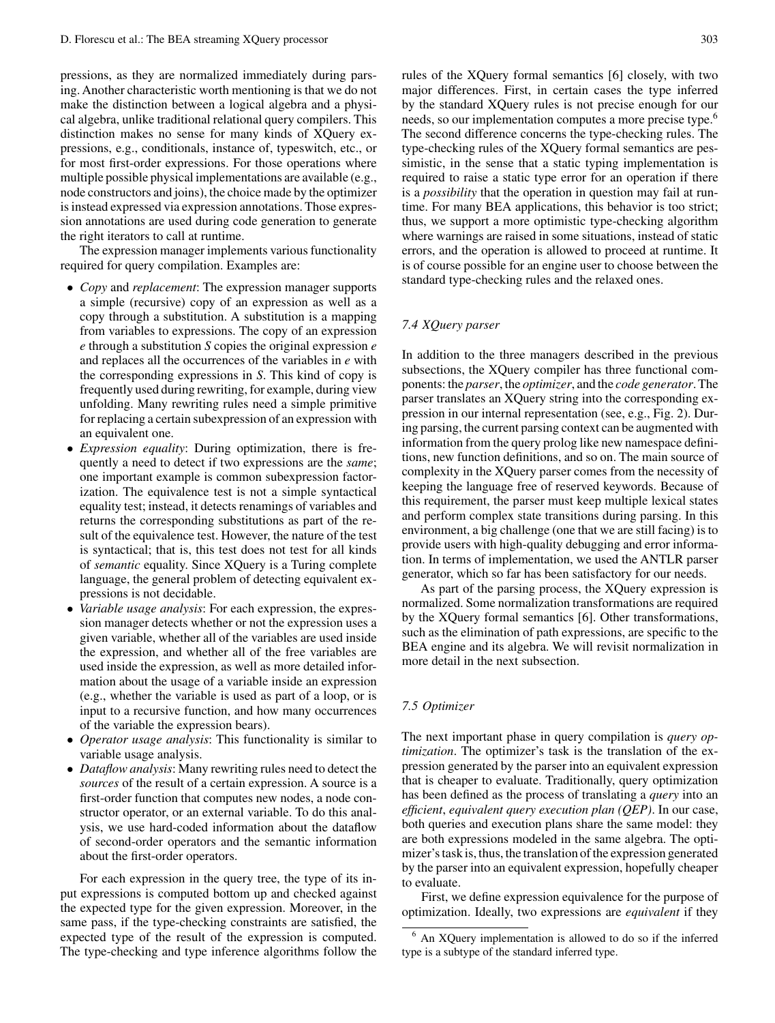pressions, as they are normalized immediately during parsing. Another characteristic worth mentioning is that we do not make the distinction between a logical algebra and a physical algebra, unlike traditional relational query compilers. This distinction makes no sense for many kinds of XQuery expressions, e.g., conditionals, instance of, typeswitch, etc., or for most first-order expressions. For those operations where multiple possible physical implementations are available (e.g., node constructors and joins), the choice made by the optimizer is instead expressed via expression annotations. Those expression annotations are used during code generation to generate the right iterators to call at runtime.

The expression manager implements various functionality required for query compilation. Examples are:

- *Copy* and *replacement*: The expression manager supports a simple (recursive) copy of an expression as well as a copy through a substitution. A substitution is a mapping from variables to expressions. The copy of an expression *e* through a substitution *S* copies the original expression *e* and replaces all the occurrences of the variables in *e* with the corresponding expressions in *S*. This kind of copy is frequently used during rewriting, for example, during view unfolding. Many rewriting rules need a simple primitive for replacing a certain subexpression of an expression with an equivalent one.
- *Expression equality*: During optimization, there is frequently a need to detect if two expressions are the *same*; one important example is common subexpression factorization. The equivalence test is not a simple syntactical equality test; instead, it detects renamings of variables and returns the corresponding substitutions as part of the result of the equivalence test. However, the nature of the test is syntactical; that is, this test does not test for all kinds of *semantic* equality. Since XQuery is a Turing complete language, the general problem of detecting equivalent expressions is not decidable.
- *Variable usage analysis*: For each expression, the expression manager detects whether or not the expression uses a given variable, whether all of the variables are used inside the expression, and whether all of the free variables are used inside the expression, as well as more detailed information about the usage of a variable inside an expression (e.g., whether the variable is used as part of a loop, or is input to a recursive function, and how many occurrences of the variable the expression bears).
- *Operator usage analysis*: This functionality is similar to variable usage analysis.
- *Dataflow analysis*: Many rewriting rules need to detect the *sources* of the result of a certain expression. A source is a first-order function that computes new nodes, a node constructor operator, or an external variable. To do this analysis, we use hard-coded information about the dataflow of second-order operators and the semantic information about the first-order operators.

For each expression in the query tree, the type of its input expressions is computed bottom up and checked against the expected type for the given expression. Moreover, in the same pass, if the type-checking constraints are satisfied, the expected type of the result of the expression is computed. The type-checking and type inference algorithms follow the

rules of the XQuery formal semantics [6] closely, with two major differences. First, in certain cases the type inferred by the standard XQuery rules is not precise enough for our needs, so our implementation computes a more precise type.<sup>6</sup> The second difference concerns the type-checking rules. The type-checking rules of the XQuery formal semantics are pessimistic, in the sense that a static typing implementation is required to raise a static type error for an operation if there is a *possibility* that the operation in question may fail at runtime. For many BEA applications, this behavior is too strict; thus, we support a more optimistic type-checking algorithm where warnings are raised in some situations, instead of static errors, and the operation is allowed to proceed at runtime. It is of course possible for an engine user to choose between the standard type-checking rules and the relaxed ones.

### *7.4 XQuery parser*

In addition to the three managers described in the previous subsections, the XQuery compiler has three functional components: the *parser*, the *optimizer*, and the *code generator*. The parser translates an XQuery string into the corresponding expression in our internal representation (see, e.g., Fig. 2). During parsing, the current parsing context can be augmented with information from the query prolog like new namespace definitions, new function definitions, and so on. The main source of complexity in the XQuery parser comes from the necessity of keeping the language free of reserved keywords. Because of this requirement, the parser must keep multiple lexical states and perform complex state transitions during parsing. In this environment, a big challenge (one that we are still facing) is to provide users with high-quality debugging and error information. In terms of implementation, we used the ANTLR parser generator, which so far has been satisfactory for our needs.

As part of the parsing process, the XQuery expression is normalized. Some normalization transformations are required by the XQuery formal semantics [6]. Other transformations, such as the elimination of path expressions, are specific to the BEA engine and its algebra. We will revisit normalization in more detail in the next subsection.

# *7.5 Optimizer*

The next important phase in query compilation is *query optimization*. The optimizer's task is the translation of the expression generated by the parser into an equivalent expression that is cheaper to evaluate. Traditionally, query optimization has been defined as the process of translating a *query* into an *efficient*, *equivalent query execution plan (QEP)*. In our case, both queries and execution plans share the same model: they are both expressions modeled in the same algebra. The optimizer's task is, thus, the translation of the expression generated by the parser into an equivalent expression, hopefully cheaper to evaluate.

First, we define expression equivalence for the purpose of optimization. Ideally, two expressions are *equivalent* if they

<sup>6</sup> An XQuery implementation is allowed to do so if the inferred type is a subtype of the standard inferred type.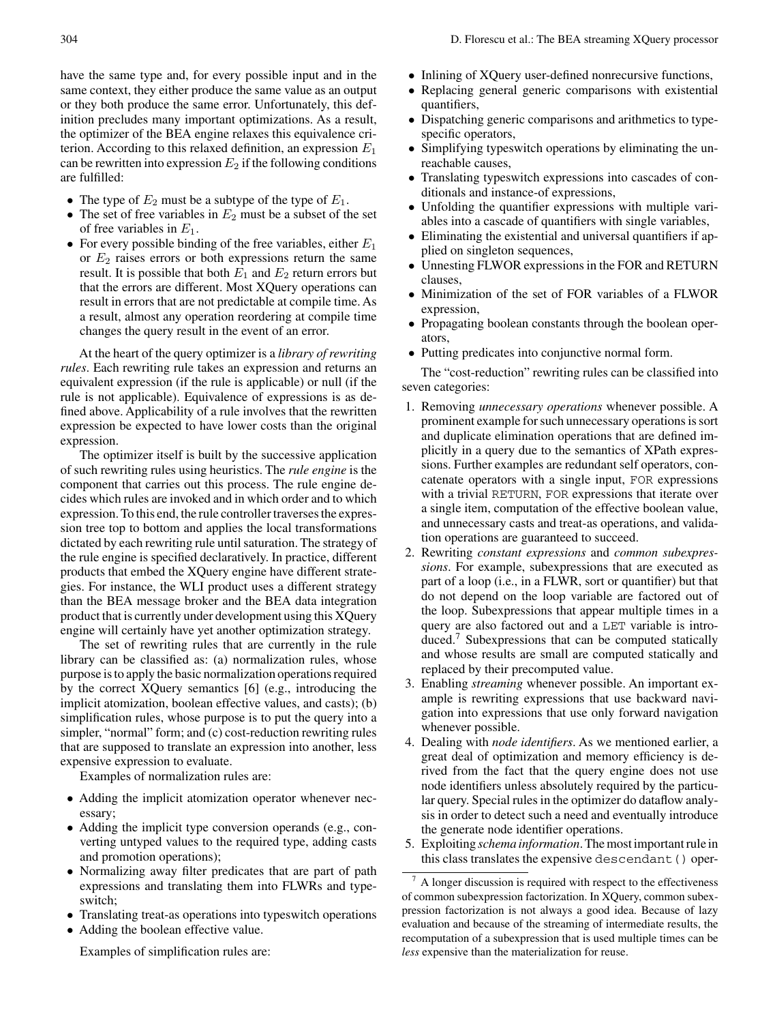have the same type and, for every possible input and in the same context, they either produce the same value as an output or they both produce the same error. Unfortunately, this definition precludes many important optimizations. As a result, the optimizer of the BEA engine relaxes this equivalence criterion. According to this relaxed definition, an expression  $E_1$ can be rewritten into expression  $E_2$  if the following conditions are fulfilled:

- The type of  $E_2$  must be a subtype of the type of  $E_1$ .
- The set of free variables in  $E_2$  must be a subset of the set of free variables in  $E_1$ .
- For every possible binding of the free variables, either  $E_1$ or  $E_2$  raises errors or both expressions return the same result. It is possible that both  $E_1$  and  $E_2$  return errors but that the errors are different. Most XQuery operations can result in errors that are not predictable at compile time. As a result, almost any operation reordering at compile time changes the query result in the event of an error.

At the heart of the query optimizer is a *library of rewriting rules*. Each rewriting rule takes an expression and returns an equivalent expression (if the rule is applicable) or null (if the rule is not applicable). Equivalence of expressions is as defined above. Applicability of a rule involves that the rewritten expression be expected to have lower costs than the original expression.

The optimizer itself is built by the successive application of such rewriting rules using heuristics. The *rule engine* is the component that carries out this process. The rule engine decides which rules are invoked and in which order and to which expression. To this end, the rule controller traverses the expression tree top to bottom and applies the local transformations dictated by each rewriting rule until saturation. The strategy of the rule engine is specified declaratively. In practice, different products that embed the XQuery engine have different strategies. For instance, the WLI product uses a different strategy than the BEA message broker and the BEA data integration product that is currently under development using this XQuery engine will certainly have yet another optimization strategy.

The set of rewriting rules that are currently in the rule library can be classified as: (a) normalization rules, whose purpose is to apply the basic normalization operations required by the correct XQuery semantics [6] (e.g., introducing the implicit atomization, boolean effective values, and casts); (b) simplification rules, whose purpose is to put the query into a simpler, "normal" form; and (c) cost-reduction rewriting rules that are supposed to translate an expression into another, less expensive expression to evaluate.

Examples of normalization rules are:

- Adding the implicit atomization operator whenever necessary;
- Adding the implicit type conversion operands (e.g., converting untyped values to the required type, adding casts and promotion operations);
- Normalizing away filter predicates that are part of path expressions and translating them into FLWRs and typeswitch;
- Translating treat-as operations into typeswitch operations
- Adding the boolean effective value.

Examples of simplification rules are:

- Inlining of XQuery user-defined nonrecursive functions,<br>• Replacing general generic comparisons with existential
- Replacing general generic comparisons with existential quantifiers,
- Dispatching generic comparisons and arithmetics to typespecific operators,
- Simplifying typeswitch operations by eliminating the unreachable causes,
- Translating typeswitch expressions into cascades of conditionals and instance-of expressions,
- Unfolding the quantifier expressions with multiple variables into a cascade of quantifiers with single variables,
- Eliminating the existential and universal quantifiers if applied on singleton sequences,
- Unnesting FLWOR expressions in the FOR and RETURN clauses,
- Minimization of the set of FOR variables of a FLWOR expression,
- Propagating boolean constants through the boolean operators,
- Putting predicates into conjunctive normal form.

The "cost-reduction" rewriting rules can be classified into seven categories:

- 1. Removing *unnecessary operations* whenever possible. A prominent example for such unnecessary operations is sort and duplicate elimination operations that are defined implicitly in a query due to the semantics of XPath expressions. Further examples are redundant self operators, concatenate operators with a single input, FOR expressions with a trivial RETURN, FOR expressions that iterate over a single item, computation of the effective boolean value, and unnecessary casts and treat-as operations, and validation operations are guaranteed to succeed.
- 2. Rewriting *constant expressions* and *common subexpressions*. For example, subexpressions that are executed as part of a loop (i.e., in a FLWR, sort or quantifier) but that do not depend on the loop variable are factored out of the loop. Subexpressions that appear multiple times in a query are also factored out and a LET variable is introduced.<sup>7</sup> Subexpressions that can be computed statically and whose results are small are computed statically and replaced by their precomputed value.
- 3. Enabling *streaming* whenever possible. An important example is rewriting expressions that use backward navigation into expressions that use only forward navigation whenever possible.
- 4. Dealing with *node identifiers*. As we mentioned earlier, a great deal of optimization and memory efficiency is derived from the fact that the query engine does not use node identifiers unless absolutely required by the particular query. Special rules in the optimizer do dataflow analysis in order to detect such a need and eventually introduce the generate node identifier operations.
- 5. Exploiting *schema information*. The most important rule in this class translates the expensive descendant() oper-

<sup>7</sup> A longer discussion is required with respect to the effectiveness of common subexpression factorization. In XQuery, common subexpression factorization is not always a good idea. Because of lazy evaluation and because of the streaming of intermediate results, the recomputation of a subexpression that is used multiple times can be *less* expensive than the materialization for reuse.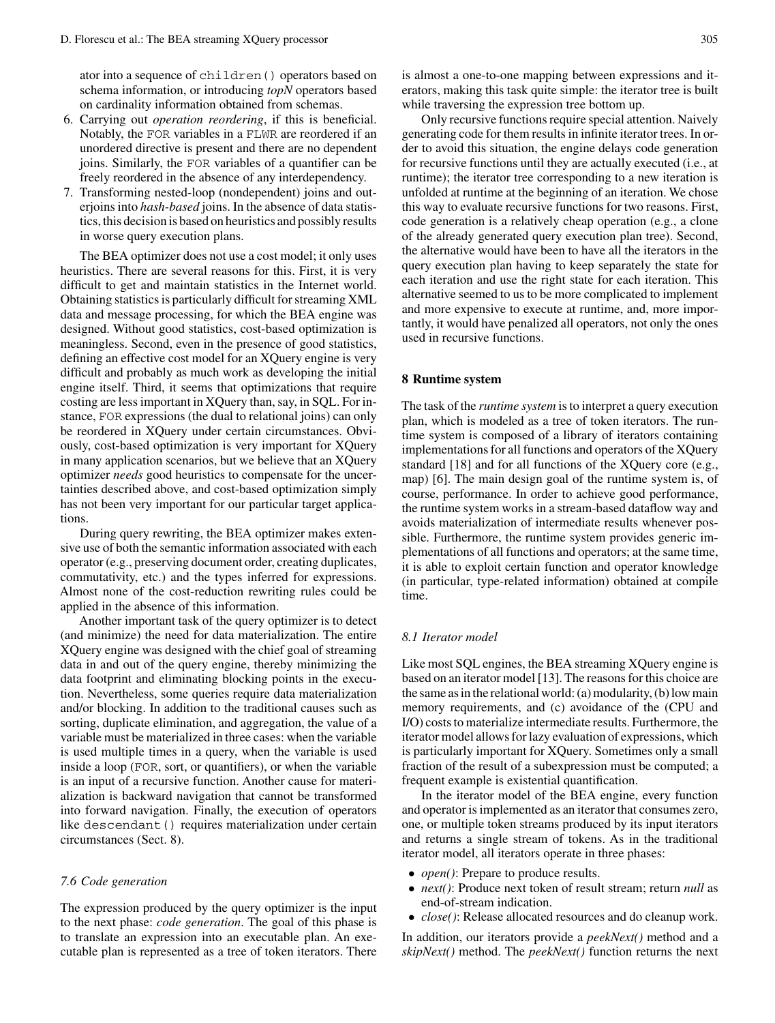ator into a sequence of children() operators based on schema information, or introducing *topN* operators based on cardinality information obtained from schemas.

- 6. Carrying out *operation reordering*, if this is beneficial. Notably, the FOR variables in a FLWR are reordered if an unordered directive is present and there are no dependent joins. Similarly, the FOR variables of a quantifier can be freely reordered in the absence of any interdependency.
- 7. Transforming nested-loop (nondependent) joins and outerjoins into *hash-based* joins. In the absence of data statistics, this decision is based on heuristics and possibly results in worse query execution plans.

The BEA optimizer does not use a cost model; it only uses heuristics. There are several reasons for this. First, it is very difficult to get and maintain statistics in the Internet world. Obtaining statistics is particularly difficult for streaming XML data and message processing, for which the BEA engine was designed. Without good statistics, cost-based optimization is meaningless. Second, even in the presence of good statistics, defining an effective cost model for an XQuery engine is very difficult and probably as much work as developing the initial engine itself. Third, it seems that optimizations that require costing are less important in XQuery than, say, in SQL. For instance, FOR expressions (the dual to relational joins) can only be reordered in XQuery under certain circumstances. Obviously, cost-based optimization is very important for XQuery in many application scenarios, but we believe that an XQuery optimizer *needs* good heuristics to compensate for the uncertainties described above, and cost-based optimization simply has not been very important for our particular target applications.

During query rewriting, the BEA optimizer makes extensive use of both the semantic information associated with each operator (e.g., preserving document order, creating duplicates, commutativity, etc.) and the types inferred for expressions. Almost none of the cost-reduction rewriting rules could be applied in the absence of this information.

Another important task of the query optimizer is to detect (and minimize) the need for data materialization. The entire XQuery engine was designed with the chief goal of streaming data in and out of the query engine, thereby minimizing the data footprint and eliminating blocking points in the execution. Nevertheless, some queries require data materialization and/or blocking. In addition to the traditional causes such as sorting, duplicate elimination, and aggregation, the value of a variable must be materialized in three cases: when the variable is used multiple times in a query, when the variable is used inside a loop (FOR, sort, or quantifiers), or when the variable is an input of a recursive function. Another cause for materialization is backward navigation that cannot be transformed into forward navigation. Finally, the execution of operators like descendant () requires materialization under certain circumstances (Sect. 8).

# *7.6 Code generation*

The expression produced by the query optimizer is the input to the next phase: *code generation*. The goal of this phase is to translate an expression into an executable plan. An executable plan is represented as a tree of token iterators. There is almost a one-to-one mapping between expressions and iterators, making this task quite simple: the iterator tree is built while traversing the expression tree bottom up.

Only recursive functions require special attention. Naively generating code for them results in infinite iterator trees. In order to avoid this situation, the engine delays code generation for recursive functions until they are actually executed (i.e., at runtime); the iterator tree corresponding to a new iteration is unfolded at runtime at the beginning of an iteration. We chose this way to evaluate recursive functions for two reasons. First, code generation is a relatively cheap operation (e.g., a clone of the already generated query execution plan tree). Second, the alternative would have been to have all the iterators in the query execution plan having to keep separately the state for each iteration and use the right state for each iteration. This alternative seemed to us to be more complicated to implement and more expensive to execute at runtime, and, more importantly, it would have penalized all operators, not only the ones used in recursive functions.

### **8 Runtime system**

The task of the *runtime system* is to interpret a query execution plan, which is modeled as a tree of token iterators. The runtime system is composed of a library of iterators containing implementations for all functions and operators of the XQuery standard [18] and for all functions of the XQuery core (e.g., map) [6]. The main design goal of the runtime system is, of course, performance. In order to achieve good performance, the runtime system works in a stream-based dataflow way and avoids materialization of intermediate results whenever possible. Furthermore, the runtime system provides generic implementations of all functions and operators; at the same time, it is able to exploit certain function and operator knowledge (in particular, type-related information) obtained at compile time.

#### *8.1 Iterator model*

Like most SQL engines, the BEA streaming XQuery engine is based on an iterator model [13]. The reasons for this choice are the same as in the relational world: (a) modularity, (b) low main memory requirements, and (c) avoidance of the (CPU and I/O) costs to materialize intermediate results. Furthermore, the iterator model allows for lazy evaluation of expressions, which is particularly important for XQuery. Sometimes only a small fraction of the result of a subexpression must be computed; a frequent example is existential quantification.

In the iterator model of the BEA engine, every function and operator is implemented as an iterator that consumes zero, one, or multiple token streams produced by its input iterators and returns a single stream of tokens. As in the traditional iterator model, all iterators operate in three phases:

- *open()*: Prepare to produce results.
- *next()*: Produce next token of result stream; return *null* as end-of-stream indication.
- *close()*: Release allocated resources and do cleanup work.

In addition, our iterators provide a *peekNext()* method and a *skipNext()* method. The *peekNext()* function returns the next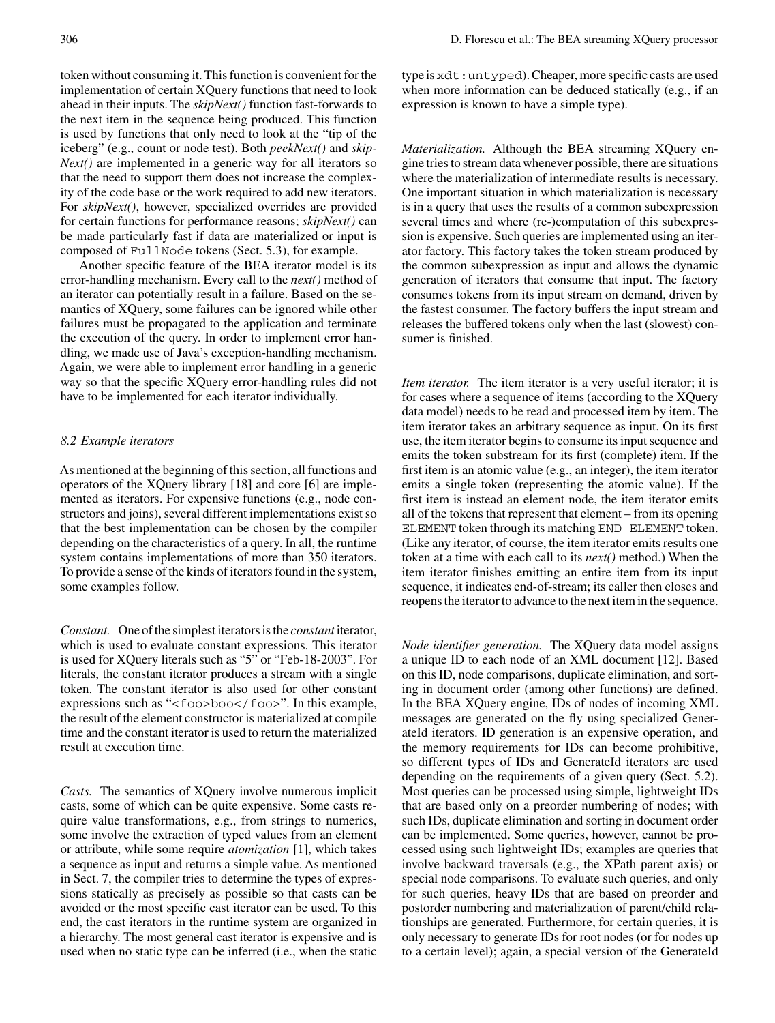token without consuming it. This function is convenient for the implementation of certain XQuery functions that need to look ahead in their inputs. The *skipNext()* function fast-forwards to the next item in the sequence being produced. This function is used by functions that only need to look at the "tip of the iceberg" (e.g., count or node test). Both *peekNext()* and *skip-Next()* are implemented in a generic way for all iterators so that the need to support them does not increase the complexity of the code base or the work required to add new iterators. For *skipNext()*, however, specialized overrides are provided for certain functions for performance reasons; *skipNext()* can be made particularly fast if data are materialized or input is composed of FullNode tokens (Sect. 5.3), for example.

Another specific feature of the BEA iterator model is its error-handling mechanism. Every call to the *next()* method of an iterator can potentially result in a failure. Based on the semantics of XQuery, some failures can be ignored while other failures must be propagated to the application and terminate the execution of the query. In order to implement error handling, we made use of Java's exception-handling mechanism. Again, we were able to implement error handling in a generic way so that the specific XQuery error-handling rules did not have to be implemented for each iterator individually.

# *8.2 Example iterators*

As mentioned at the beginning of this section, all functions and operators of the XQuery library [18] and core [6] are implemented as iterators. For expensive functions (e.g., node constructors and joins), several different implementations exist so that the best implementation can be chosen by the compiler depending on the characteristics of a query. In all, the runtime system contains implementations of more than 350 iterators. To provide a sense of the kinds of iterators found in the system, some examples follow.

*Constant.* One of the simplest iterators is the *constant* iterator, which is used to evaluate constant expressions. This iterator is used for XQuery literals such as "5" or "Feb-18-2003". For literals, the constant iterator produces a stream with a single token. The constant iterator is also used for other constant expressions such as "<foo>boo</foo>". In this example, the result of the element constructor is materialized at compile time and the constant iterator is used to return the materialized result at execution time.

*Casts.* The semantics of XQuery involve numerous implicit casts, some of which can be quite expensive. Some casts require value transformations, e.g., from strings to numerics, some involve the extraction of typed values from an element or attribute, while some require *atomization* [1], which takes a sequence as input and returns a simple value. As mentioned in Sect. 7, the compiler tries to determine the types of expressions statically as precisely as possible so that casts can be avoided or the most specific cast iterator can be used. To this end, the cast iterators in the runtime system are organized in a hierarchy. The most general cast iterator is expensive and is used when no static type can be inferred (i.e., when the static

type isxdt:untyped). Cheaper, more specific casts are used when more information can be deduced statically (e.g., if an expression is known to have a simple type).

*Materialization.* Although the BEA streaming XQuery engine tries to stream data whenever possible, there are situations where the materialization of intermediate results is necessary. One important situation in which materialization is necessary is in a query that uses the results of a common subexpression several times and where (re-)computation of this subexpression is expensive. Such queries are implemented using an iterator factory. This factory takes the token stream produced by the common subexpression as input and allows the dynamic generation of iterators that consume that input. The factory consumes tokens from its input stream on demand, driven by the fastest consumer. The factory buffers the input stream and releases the buffered tokens only when the last (slowest) consumer is finished.

*Item iterator.* The item iterator is a very useful iterator; it is for cases where a sequence of items (according to the XQuery data model) needs to be read and processed item by item. The item iterator takes an arbitrary sequence as input. On its first use, the item iterator begins to consume its input sequence and emits the token substream for its first (complete) item. If the first item is an atomic value (e.g., an integer), the item iterator emits a single token (representing the atomic value). If the first item is instead an element node, the item iterator emits all of the tokens that represent that element – from its opening ELEMENT token through its matching END ELEMENT token. (Like any iterator, of course, the item iterator emits results one token at a time with each call to its *next()* method.) When the item iterator finishes emitting an entire item from its input sequence, it indicates end-of-stream; its caller then closes and reopens the iterator to advance to the next item in the sequence.

*Node identifier generation.* The XQuery data model assigns a unique ID to each node of an XML document [12]. Based on this ID, node comparisons, duplicate elimination, and sorting in document order (among other functions) are defined. In the BEA XQuery engine, IDs of nodes of incoming XML messages are generated on the fly using specialized GenerateId iterators. ID generation is an expensive operation, and the memory requirements for IDs can become prohibitive, so different types of IDs and GenerateId iterators are used depending on the requirements of a given query (Sect. 5.2). Most queries can be processed using simple, lightweight IDs that are based only on a preorder numbering of nodes; with such IDs, duplicate elimination and sorting in document order can be implemented. Some queries, however, cannot be processed using such lightweight IDs; examples are queries that involve backward traversals (e.g., the XPath parent axis) or special node comparisons. To evaluate such queries, and only for such queries, heavy IDs that are based on preorder and postorder numbering and materialization of parent/child relationships are generated. Furthermore, for certain queries, it is only necessary to generate IDs for root nodes (or for nodes up to a certain level); again, a special version of the GenerateId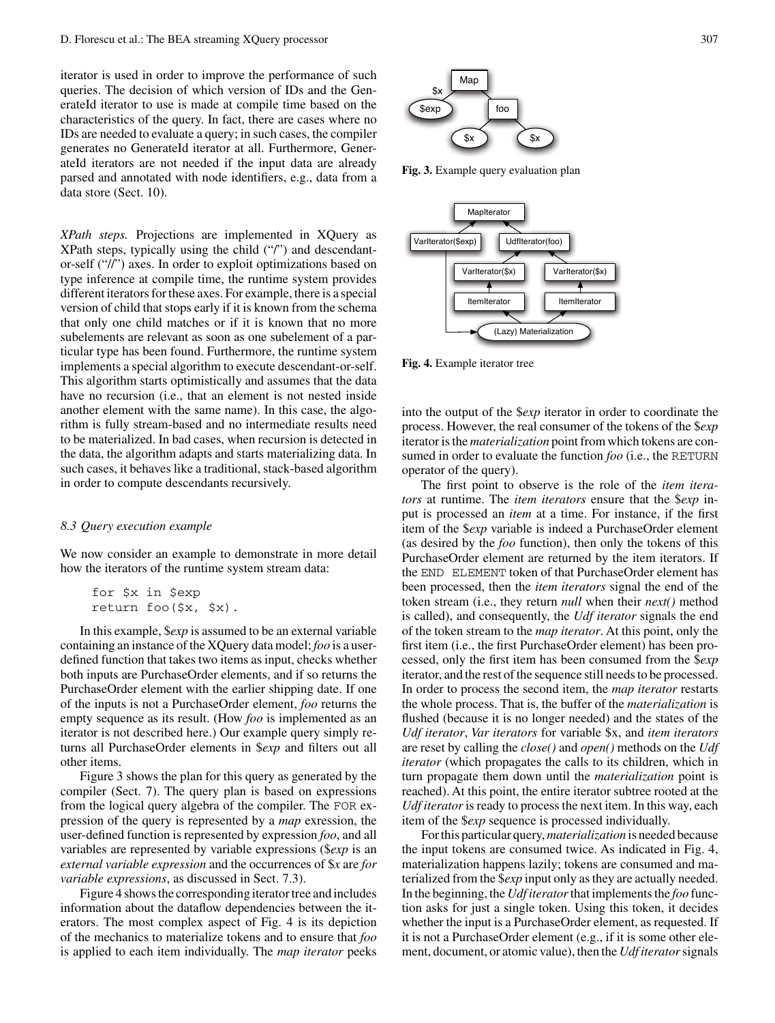iterator is used in order to improve the performance of such queries. The decision of which version of IDs and the GenerateId iterator to use is made at compile time based on the characteristics of the query. In fact, there are cases where no IDs are needed to evaluate a query; in such cases, the compiler generates no GenerateId iterator at all. Furthermore, GenerateId iterators are not needed if the input data are already parsed and annotated with node identifiers, e.g., data from a data store (Sect. 10).

*XPath steps.* Projections are implemented in XQuery as XPath steps, typically using the child ("/") and descendantor-self ("//") axes. In order to exploit optimizations based on type inference at compile time, the runtime system provides different iterators for these axes. For example, there is a special version of child that stops early if it is known from the schema that only one child matches or if it is known that no more subelements are relevant as soon as one subelement of a particular type has been found. Furthermore, the runtime system implements a special algorithm to execute descendant-or-self. This algorithm starts optimistically and assumes that the data have no recursion (i.e., that an element is not nested inside another element with the same name). In this case, the algorithm is fully stream-based and no intermediate results need to be materialized. In bad cases, when recursion is detected in the data, the algorithm adapts and starts materializing data. In such cases, it behaves like a traditional, stack-based algorithm in order to compute descendants recursively.

### *8.3 Query execution example*

We now consider an example to demonstrate in more detail how the iterators of the runtime system stream data:

```
for $x in $exp
return foo($x, $x).
```
In this example, \$*exp* is assumed to be an external variable containing an instance of the XQuery data model; *foo* is a userdefined function that takes two items as input, checks whether both inputs are PurchaseOrder elements, and if so returns the PurchaseOrder element with the earlier shipping date. If one of the inputs is not a PurchaseOrder element, *foo* returns the empty sequence as its result. (How *foo* is implemented as an iterator is not described here.) Our example query simply returns all PurchaseOrder elements in \$*exp* and filters out all other items.

Figure 3 shows the plan for this query as generated by the compiler (Sect. 7). The query plan is based on expressions from the logical query algebra of the compiler. The FOR expression of the query is represented by a *map* exression, the user-defined function is represented by expression *foo*, and all variables are represented by variable expressions (\$*exp* is an *external variable expression* and the occurrences of \$*x* are *for variable expressions*, as discussed in Sect. 7.3).

Figure 4 shows the corresponding iterator tree and includes information about the dataflow dependencies between the iterators. The most complex aspect of Fig. 4 is its depiction of the mechanics to materialize tokens and to ensure that *foo* is applied to each item individually. The *map iterator* peeks



**Fig. 3.** Example query evaluation plan



**Fig. 4.** Example iterator tree

into the output of the \$*exp* iterator in order to coordinate the process. However, the real consumer of the tokens of the \$*exp* iterator is the *materialization* point from which tokens are consumed in order to evaluate the function *foo* (i.e., the RETURN operator of the query).

The first point to observe is the role of the *item iterators* at runtime. The *item iterators* ensure that the \$*exp* input is processed an *item* at a time. For instance, if the first item of the \$*exp* variable is indeed a PurchaseOrder element (as desired by the *foo* function), then only the tokens of this PurchaseOrder element are returned by the item iterators. If the END ELEMENT token of that PurchaseOrder element has been processed, then the *item iterators* signal the end of the token stream (i.e., they return *null* when their *next()* method is called), and consequently, the *Udf iterator* signals the end of the token stream to the *map iterator*. At this point, only the first item (i.e., the first PurchaseOrder element) has been processed, only the first item has been consumed from the \$*exp* iterator, and the rest of the sequence still needs to be processed. In order to process the second item, the *map iterator* restarts the whole process. That is, the buffer of the *materialization* is flushed (because it is no longer needed) and the states of the *Udf iterator*, *Var iterators* for variable \$x, and *item iterators* are reset by calling the *close()* and *open()* methods on the *Udf iterator* (which propagates the calls to its children, which in turn propagate them down until the *materialization* point is reached). At this point, the entire iterator subtree rooted at the *Udf iterator*is ready to process the next item. In this way, each item of the \$*exp* sequence is processed individually.

For this particular query,*materialization* is needed because the input tokens are consumed twice. As indicated in Fig. 4, materialization happens lazily; tokens are consumed and materialized from the \$*exp* input only as they are actually needed. In the beginning, the *Udf iterator*that implements the *foo* function asks for just a single token. Using this token, it decides whether the input is a PurchaseOrder element, as requested. If it is not a PurchaseOrder element (e.g., if it is some other element, document, or atomic value), then the *Udf iterator*signals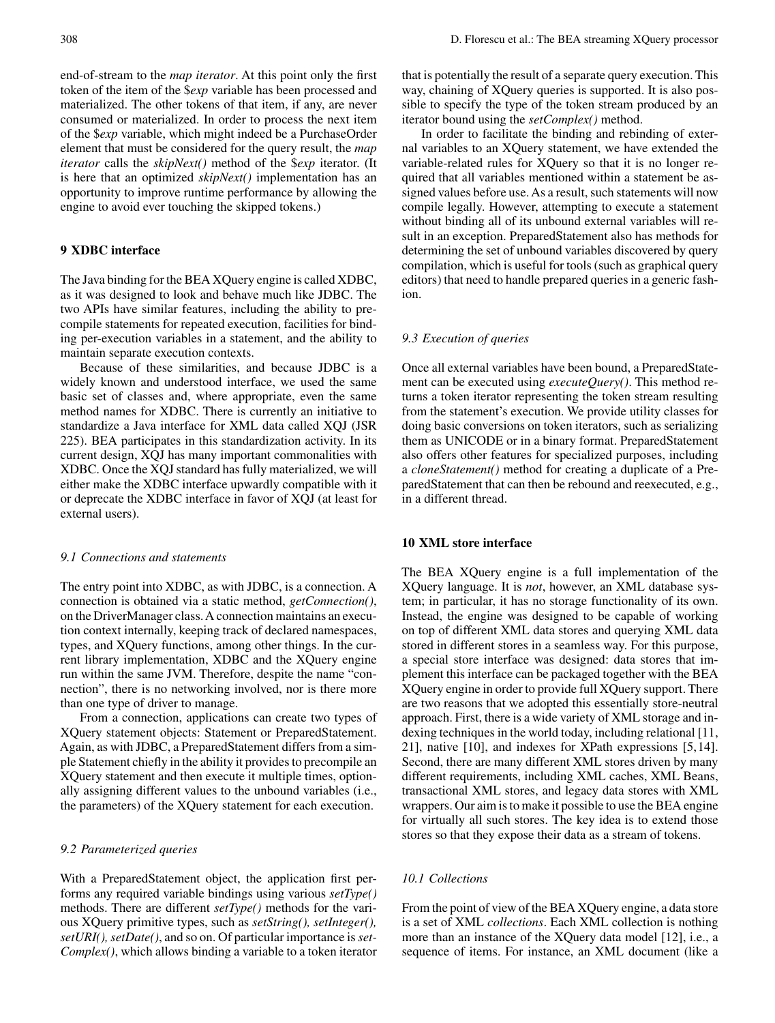end-of-stream to the *map iterator*. At this point only the first token of the item of the \$*exp* variable has been processed and materialized. The other tokens of that item, if any, are never consumed or materialized. In order to process the next item of the \$*exp* variable, which might indeed be a PurchaseOrder element that must be considered for the query result, the *map iterator* calls the *skipNext()* method of the \$*exp* iterator. (It is here that an optimized *skipNext()* implementation has an opportunity to improve runtime performance by allowing the engine to avoid ever touching the skipped tokens.)

# **9 XDBC interface**

The Java binding for the BEA XQuery engine is called XDBC, as it was designed to look and behave much like JDBC. The two APIs have similar features, including the ability to precompile statements for repeated execution, facilities for binding per-execution variables in a statement, and the ability to maintain separate execution contexts.

Because of these similarities, and because JDBC is a widely known and understood interface, we used the same basic set of classes and, where appropriate, even the same method names for XDBC. There is currently an initiative to standardize a Java interface for XML data called XQJ (JSR 225). BEA participates in this standardization activity. In its current design, XQJ has many important commonalities with XDBC. Once the XQJ standard has fully materialized, we will either make the XDBC interface upwardly compatible with it or deprecate the XDBC interface in favor of XQJ (at least for external users).

#### *9.1 Connections and statements*

The entry point into XDBC, as with JDBC, is a connection. A connection is obtained via a static method, *getConnection()*, on the DriverManager class.A connection maintains an execution context internally, keeping track of declared namespaces, types, and XQuery functions, among other things. In the current library implementation, XDBC and the XQuery engine run within the same JVM. Therefore, despite the name "connection", there is no networking involved, nor is there more than one type of driver to manage.

From a connection, applications can create two types of XQuery statement objects: Statement or PreparedStatement. Again, as with JDBC, a PreparedStatement differs from a simple Statement chiefly in the ability it provides to precompile an XQuery statement and then execute it multiple times, optionally assigning different values to the unbound variables (i.e., the parameters) of the XQuery statement for each execution.

### *9.2 Parameterized queries*

With a PreparedStatement object, the application first performs any required variable bindings using various *setType()* methods. There are different *setType()* methods for the various XQuery primitive types, such as *setString(), setInteger(), setURI(), setDate()*, and so on. Of particular importance is*set-Complex()*, which allows binding a variable to a token iterator that is potentially the result of a separate query execution. This way, chaining of XQuery queries is supported. It is also possible to specify the type of the token stream produced by an iterator bound using the *setComplex()* method.

In order to facilitate the binding and rebinding of external variables to an XQuery statement, we have extended the variable-related rules for XQuery so that it is no longer required that all variables mentioned within a statement be assigned values before use. As a result, such statements will now compile legally. However, attempting to execute a statement without binding all of its unbound external variables will result in an exception. PreparedStatement also has methods for determining the set of unbound variables discovered by query compilation, which is useful for tools (such as graphical query editors) that need to handle prepared queries in a generic fashion.

#### *9.3 Execution of queries*

Once all external variables have been bound, a PreparedStatement can be executed using *executeQuery()*. This method returns a token iterator representing the token stream resulting from the statement's execution. We provide utility classes for doing basic conversions on token iterators, such as serializing them as UNICODE or in a binary format. PreparedStatement also offers other features for specialized purposes, including a *cloneStatement()* method for creating a duplicate of a PreparedStatement that can then be rebound and reexecuted, e.g., in a different thread.

# **10 XML store interface**

The BEA XQuery engine is a full implementation of the XQuery language. It is *not*, however, an XML database system; in particular, it has no storage functionality of its own. Instead, the engine was designed to be capable of working on top of different XML data stores and querying XML data stored in different stores in a seamless way. For this purpose, a special store interface was designed: data stores that implement this interface can be packaged together with the BEA XQuery engine in order to provide full XQuery support. There are two reasons that we adopted this essentially store-neutral approach. First, there is a wide variety of XML storage and indexing techniques in the world today, including relational [11, 21], native [10], and indexes for XPath expressions [5,14]. Second, there are many different XML stores driven by many different requirements, including XML caches, XML Beans, transactional XML stores, and legacy data stores with XML wrappers. Our aim is to make it possible to use the BEA engine for virtually all such stores. The key idea is to extend those stores so that they expose their data as a stream of tokens.

#### *10.1 Collections*

From the point of view of the BEA XQuery engine, a data store is a set of XML *collections*. Each XML collection is nothing more than an instance of the XQuery data model [12], i.e., a sequence of items. For instance, an XML document (like a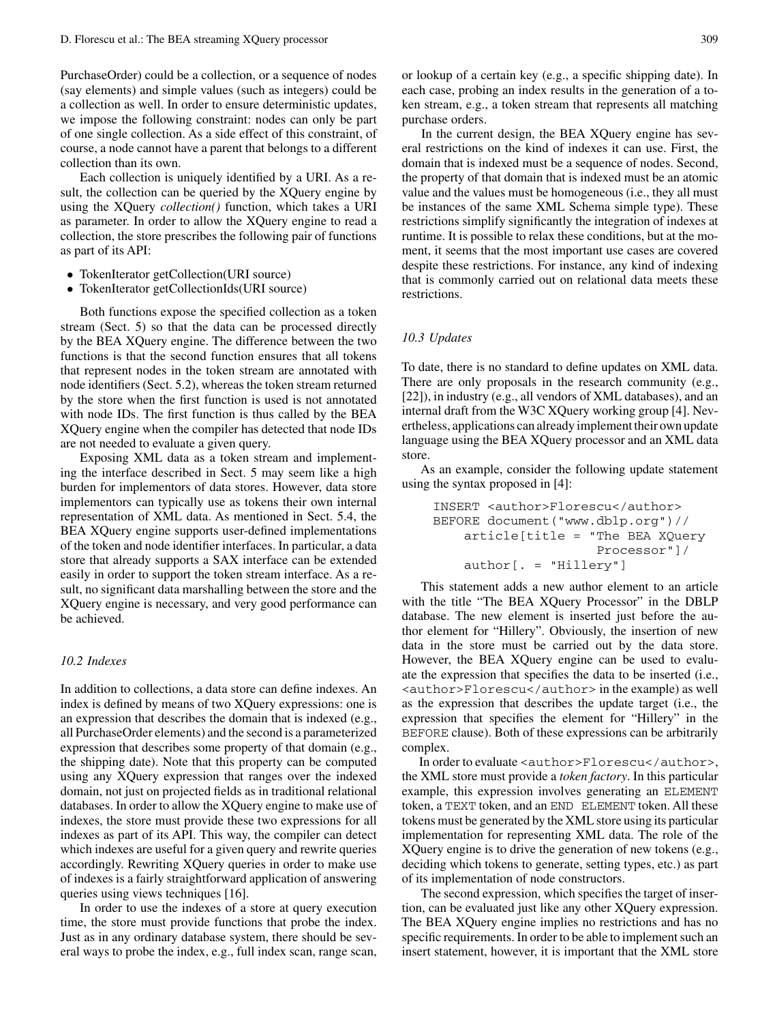PurchaseOrder) could be a collection, or a sequence of nodes (say elements) and simple values (such as integers) could be a collection as well. In order to ensure deterministic updates, we impose the following constraint: nodes can only be part of one single collection. As a side effect of this constraint, of course, a node cannot have a parent that belongs to a different collection than its own.

Each collection is uniquely identified by a URI. As a result, the collection can be queried by the XQuery engine by using the XQuery *collection()* function, which takes a URI as parameter. In order to allow the XQuery engine to read a collection, the store prescribes the following pair of functions as part of its API:

- TokenIterator getCollection(URI source)
- TokenIterator getCollectionIds(URI source)

Both functions expose the specified collection as a token stream (Sect. 5) so that the data can be processed directly by the BEA XQuery engine. The difference between the two functions is that the second function ensures that all tokens that represent nodes in the token stream are annotated with node identifiers (Sect. 5.2), whereas the token stream returned by the store when the first function is used is not annotated with node IDs. The first function is thus called by the BEA XQuery engine when the compiler has detected that node IDs are not needed to evaluate a given query.

Exposing XML data as a token stream and implementing the interface described in Sect. 5 may seem like a high burden for implementors of data stores. However, data store implementors can typically use as tokens their own internal representation of XML data. As mentioned in Sect. 5.4, the BEA XQuery engine supports user-defined implementations of the token and node identifier interfaces. In particular, a data store that already supports a SAX interface can be extended easily in order to support the token stream interface. As a result, no significant data marshalling between the store and the XQuery engine is necessary, and very good performance can be achieved.

# *10.2 Indexes*

In addition to collections, a data store can define indexes. An index is defined by means of two XQuery expressions: one is an expression that describes the domain that is indexed (e.g., all PurchaseOrder elements) and the second is a parameterized expression that describes some property of that domain (e.g., the shipping date). Note that this property can be computed using any XQuery expression that ranges over the indexed domain, not just on projected fields as in traditional relational databases. In order to allow the XQuery engine to make use of indexes, the store must provide these two expressions for all indexes as part of its API. This way, the compiler can detect which indexes are useful for a given query and rewrite queries accordingly. Rewriting XQuery queries in order to make use of indexes is a fairly straightforward application of answering queries using views techniques [16].

In order to use the indexes of a store at query execution time, the store must provide functions that probe the index. Just as in any ordinary database system, there should be several ways to probe the index, e.g., full index scan, range scan, or lookup of a certain key (e.g., a specific shipping date). In each case, probing an index results in the generation of a token stream, e.g., a token stream that represents all matching purchase orders.

In the current design, the BEA XQuery engine has several restrictions on the kind of indexes it can use. First, the domain that is indexed must be a sequence of nodes. Second, the property of that domain that is indexed must be an atomic value and the values must be homogeneous (i.e., they all must be instances of the same XML Schema simple type). These restrictions simplify significantly the integration of indexes at runtime. It is possible to relax these conditions, but at the moment, it seems that the most important use cases are covered despite these restrictions. For instance, any kind of indexing that is commonly carried out on relational data meets these restrictions.

# *10.3 Updates*

To date, there is no standard to define updates on XML data. There are only proposals in the research community (e.g., [22]), in industry (e.g., all vendors of XML databases), and an internal draft from the W3C XQuery working group [4]. Nevertheless, applications can already implement their own update language using the BEA XQuery processor and an XML data store.

As an example, consider the following update statement using the syntax proposed in [4]:

INSERT <author>Florescu</author> BEFORE document("www.dblp.org")// article[title = "The BEA XQuery Processor"]/ author[. = "Hillery"]

This statement adds a new author element to an article with the title "The BEA XQuery Processor" in the DBLP database. The new element is inserted just before the author element for "Hillery". Obviously, the insertion of new data in the store must be carried out by the data store. However, the BEA XQuery engine can be used to evaluate the expression that specifies the data to be inserted (i.e., <author>Florescu</author> in the example) as well as the expression that describes the update target (i.e., the expression that specifies the element for "Hillery" in the BEFORE clause). Both of these expressions can be arbitrarily complex.

In order to evaluate <author>Florescu</author>, the XML store must provide a *token factory*. In this particular example, this expression involves generating an ELEMENT token, a TEXT token, and an END ELEMENT token. All these tokens must be generated by the XML store using its particular implementation for representing XML data. The role of the XQuery engine is to drive the generation of new tokens (e.g., deciding which tokens to generate, setting types, etc.) as part of its implementation of node constructors.

The second expression, which specifies the target of insertion, can be evaluated just like any other XQuery expression. The BEA XQuery engine implies no restrictions and has no specific requirements. In order to be able to implement such an insert statement, however, it is important that the XML store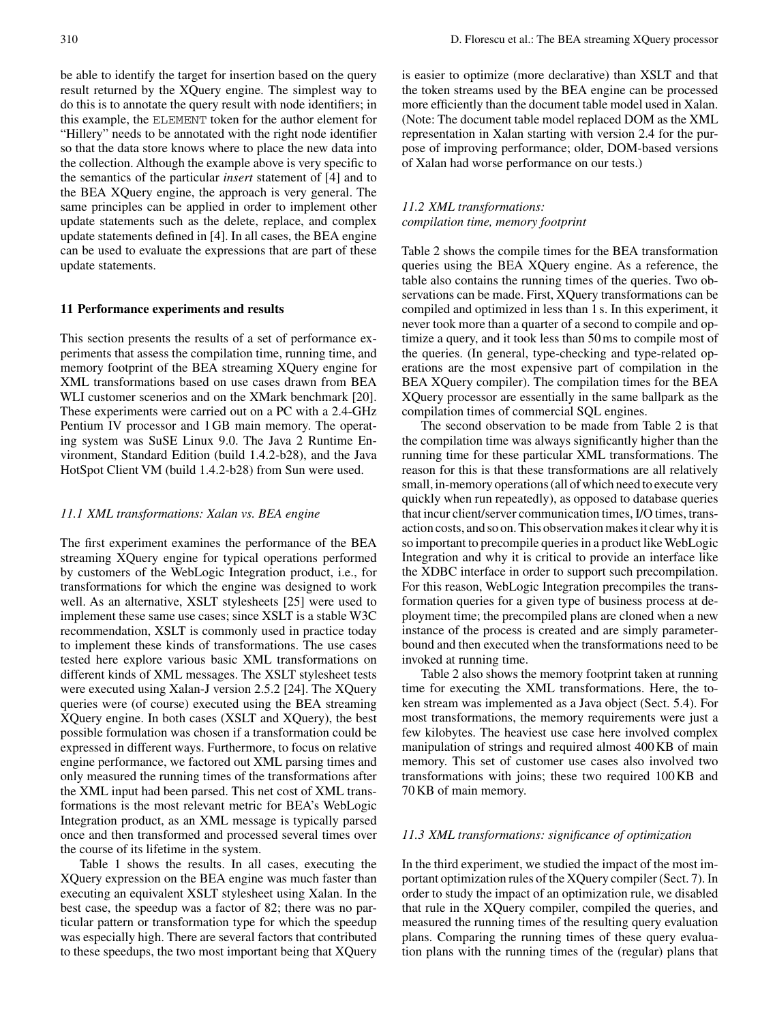be able to identify the target for insertion based on the query result returned by the XQuery engine. The simplest way to do this is to annotate the query result with node identifiers; in this example, the ELEMENT token for the author element for "Hillery" needs to be annotated with the right node identifier so that the data store knows where to place the new data into the collection. Although the example above is very specific to the semantics of the particular *insert* statement of [4] and to the BEA XQuery engine, the approach is very general. The same principles can be applied in order to implement other update statements such as the delete, replace, and complex update statements defined in [4]. In all cases, the BEA engine can be used to evaluate the expressions that are part of these update statements.

#### **11 Performance experiments and results**

This section presents the results of a set of performance experiments that assess the compilation time, running time, and memory footprint of the BEA streaming XQuery engine for XML transformations based on use cases drawn from BEA WLI customer scenerios and on the XMark benchmark [20]. These experiments were carried out on a PC with a 2.4-GHz Pentium IV processor and 1 GB main memory. The operating system was SuSE Linux 9.0. The Java 2 Runtime Environment, Standard Edition (build 1.4.2-b28), and the Java HotSpot Client VM (build 1.4.2-b28) from Sun were used.

#### *11.1 XML transformations: Xalan vs. BEA engine*

The first experiment examines the performance of the BEA streaming XQuery engine for typical operations performed by customers of the WebLogic Integration product, i.e., for transformations for which the engine was designed to work well. As an alternative, XSLT stylesheets [25] were used to implement these same use cases; since XSLT is a stable W3C recommendation, XSLT is commonly used in practice today to implement these kinds of transformations. The use cases tested here explore various basic XML transformations on different kinds of XML messages. The XSLT stylesheet tests were executed using Xalan-J version 2.5.2 [24]. The XQuery queries were (of course) executed using the BEA streaming XQuery engine. In both cases (XSLT and XQuery), the best possible formulation was chosen if a transformation could be expressed in different ways. Furthermore, to focus on relative engine performance, we factored out XML parsing times and only measured the running times of the transformations after the XML input had been parsed. This net cost of XML transformations is the most relevant metric for BEA's WebLogic Integration product, as an XML message is typically parsed once and then transformed and processed several times over the course of its lifetime in the system.

Table 1 shows the results. In all cases, executing the XQuery expression on the BEA engine was much faster than executing an equivalent XSLT stylesheet using Xalan. In the best case, the speedup was a factor of 82; there was no particular pattern or transformation type for which the speedup was especially high. There are several factors that contributed to these speedups, the two most important being that XQuery is easier to optimize (more declarative) than XSLT and that the token streams used by the BEA engine can be processed more efficiently than the document table model used in Xalan. (Note: The document table model replaced DOM as the XML representation in Xalan starting with version 2.4 for the purpose of improving performance; older, DOM-based versions of Xalan had worse performance on our tests.)

# *11.2 XML transformations: compilation time, memory footprint*

Table 2 shows the compile times for the BEA transformation queries using the BEA XQuery engine. As a reference, the table also contains the running times of the queries. Two observations can be made. First, XQuery transformations can be compiled and optimized in less than 1 s. In this experiment, it never took more than a quarter of a second to compile and optimize a query, and it took less than 50 ms to compile most of the queries. (In general, type-checking and type-related operations are the most expensive part of compilation in the BEA XQuery compiler). The compilation times for the BEA XQuery processor are essentially in the same ballpark as the compilation times of commercial SQL engines.

The second observation to be made from Table 2 is that the compilation time was always significantly higher than the running time for these particular XML transformations. The reason for this is that these transformations are all relatively small, in-memory operations (all of which need to execute very quickly when run repeatedly), as opposed to database queries that incur client/server communication times, I/O times, transaction costs, and so on. This observation makes it clear why it is so important to precompile queries in a product like WebLogic Integration and why it is critical to provide an interface like the XDBC interface in order to support such precompilation. For this reason, WebLogic Integration precompiles the transformation queries for a given type of business process at deployment time; the precompiled plans are cloned when a new instance of the process is created and are simply parameterbound and then executed when the transformations need to be invoked at running time.

Table 2 also shows the memory footprint taken at running time for executing the XML transformations. Here, the token stream was implemented as a Java object (Sect. 5.4). For most transformations, the memory requirements were just a few kilobytes. The heaviest use case here involved complex manipulation of strings and required almost 400 KB of main memory. This set of customer use cases also involved two transformations with joins; these two required 100 KB and 70 KB of main memory.

### *11.3 XML transformations: significance of optimization*

In the third experiment, we studied the impact of the most important optimization rules of the XQuery compiler (Sect. 7). In order to study the impact of an optimization rule, we disabled that rule in the XQuery compiler, compiled the queries, and measured the running times of the resulting query evaluation plans. Comparing the running times of these query evaluation plans with the running times of the (regular) plans that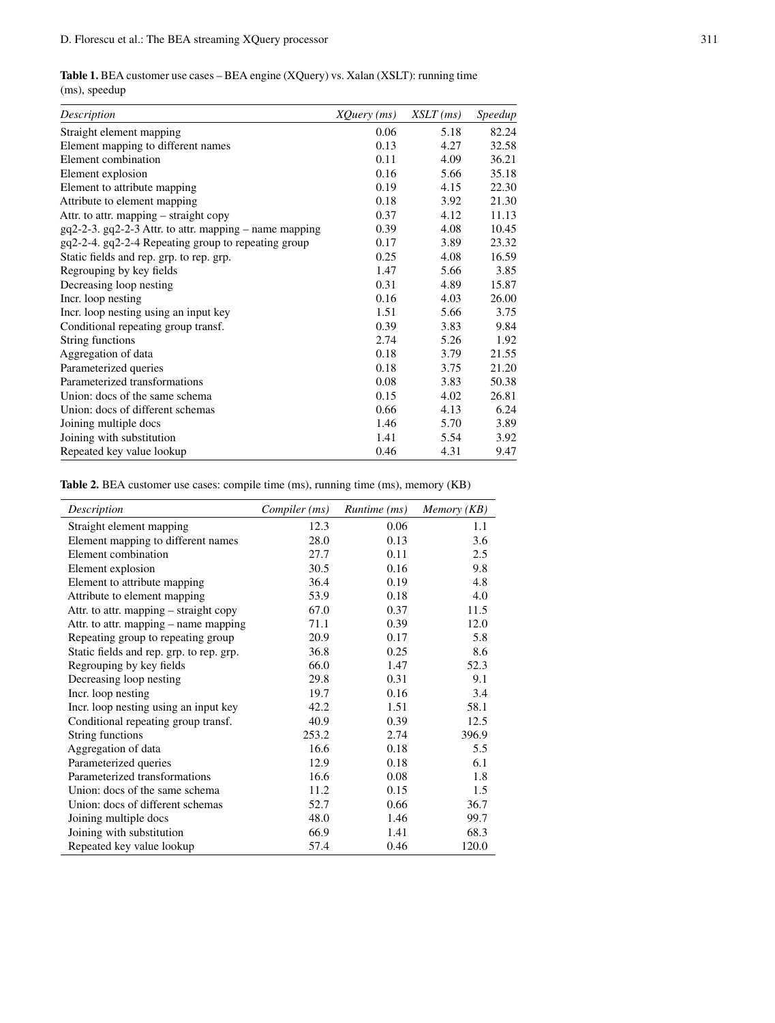| <b>Table 1.</b> BEA customer use cases – BEA engine (XQuery) vs. Xalan (XSLT): running time |  |
|---------------------------------------------------------------------------------------------|--|
| (ms), speedup                                                                               |  |

| Description                                                 | $XQuery$ (ms) | $XSLT$ (ms) | Speedup |
|-------------------------------------------------------------|---------------|-------------|---------|
| Straight element mapping                                    | 0.06          | 5.18        | 82.24   |
| Element mapping to different names                          | 0.13          | 4.27        | 32.58   |
| Element combination                                         | 0.11          | 4.09        | 36.21   |
| Element explosion                                           | 0.16          | 5.66        | 35.18   |
| Element to attribute mapping                                | 0.19          | 4.15        | 22.30   |
| Attribute to element mapping                                | 0.18          | 3.92        | 21.30   |
| Attr. to attr. mapping – straight copy                      | 0.37          | 4.12        | 11.13   |
| $gq2-2-3$ . $gq2-2-3$ Attr. to attr. mapping – name mapping | 0.39          | 4.08        | 10.45   |
| gq2-2-4. gq2-2-4 Repeating group to repeating group         | 0.17          | 3.89        | 23.32   |
| Static fields and rep. grp. to rep. grp.                    | 0.25          | 4.08        | 16.59   |
| Regrouping by key fields                                    | 1.47          | 5.66        | 3.85    |
| Decreasing loop nesting                                     | 0.31          | 4.89        | 15.87   |
| Incr. loop nesting                                          | 0.16          | 4.03        | 26.00   |
| Incr. loop nesting using an input key                       | 1.51          | 5.66        | 3.75    |
| Conditional repeating group transf.                         | 0.39          | 3.83        | 9.84    |
| String functions                                            | 2.74          | 5.26        | 1.92    |
| Aggregation of data                                         | 0.18          | 3.79        | 21.55   |
| Parameterized queries                                       | 0.18          | 3.75        | 21.20   |
| Parameterized transformations                               | 0.08          | 3.83        | 50.38   |
| Union: docs of the same schema                              | 0.15          | 4.02        | 26.81   |
| Union: docs of different schemas                            | 0.66          | 4.13        | 6.24    |
| Joining multiple docs                                       | 1.46          | 5.70        | 3.89    |
| Joining with substitution                                   | 1.41          | 5.54        | 3.92    |
| Repeated key value lookup                                   | 0.46          | 4.31        | 9.47    |

**Table 2.** BEA customer use cases: compile time (ms), running time (ms), memory (KB)

| Description                              | Compiler (ms) | Runtime (ms) | Memory (KB) |
|------------------------------------------|---------------|--------------|-------------|
|                                          |               |              | 1.1         |
| Straight element mapping                 | 12.3          | 0.06         |             |
| Element mapping to different names       | 28.0          | 0.13         | 3.6         |
| Element combination                      | 27.7          | 0.11         | 2.5         |
| Element explosion                        | 30.5          | 0.16         | 9.8         |
| Element to attribute mapping             | 36.4          | 0.19         | 4.8         |
| Attribute to element mapping             | 53.9          | 0.18         | 4.0         |
| Attr. to attr. mapping – straight copy   | 67.0          | 0.37         | 11.5        |
| Attr. to attr. mapping – name mapping    | 71.1          | 0.39         | 12.0        |
| Repeating group to repeating group       | 20.9          | 0.17         | 5.8         |
| Static fields and rep. grp. to rep. grp. | 36.8          | 0.25         | 8.6         |
| Regrouping by key fields                 | 66.0          | 1.47         | 52.3        |
| Decreasing loop nesting                  | 29.8          | 0.31         | 9.1         |
| Incr. loop nesting                       | 19.7          | 0.16         | 3.4         |
| Incr. loop nesting using an input key    | 42.2          | 1.51         | 58.1        |
| Conditional repeating group transf.      | 40.9          | 0.39         | 12.5        |
| String functions                         | 253.2         | 2.74         | 396.9       |
| Aggregation of data                      | 16.6          | 0.18         | 5.5         |
| Parameterized queries                    | 12.9          | 0.18         | 6.1         |
| Parameterized transformations            | 16.6          | 0.08         | 1.8         |
| Union: docs of the same schema           | 11.2          | 0.15         | 1.5         |
| Union: docs of different schemas         | 52.7          | 0.66         | 36.7        |
| Joining multiple docs                    | 48.0          | 1.46         | 99.7        |
| Joining with substitution                | 66.9          | 1.41         | 68.3        |
| Repeated key value lookup                | 57.4          | 0.46         | 120.0       |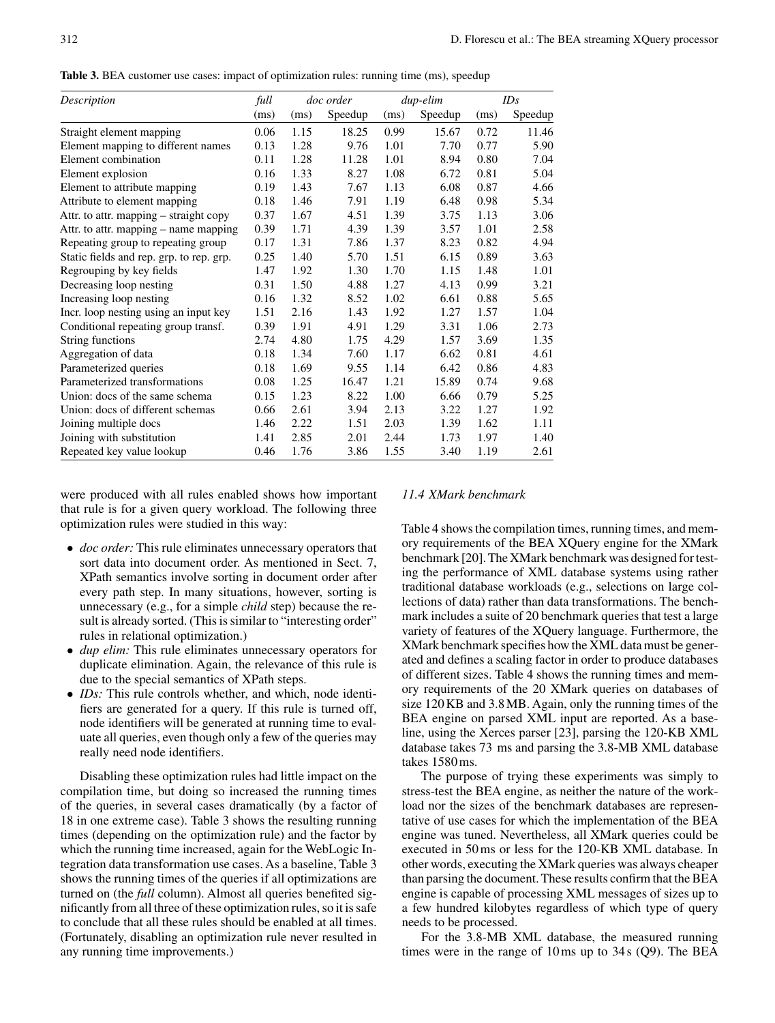**Table 3.** BEA customer use cases: impact of optimization rules: running time (ms), speedup

| Description                              | full | doc order |         | dup-elim |         | IDs  |         |
|------------------------------------------|------|-----------|---------|----------|---------|------|---------|
|                                          | (ms) | (ms)      | Speedup | (ms)     | Speedup | (ms) | Speedup |
| Straight element mapping                 | 0.06 | 1.15      | 18.25   | 0.99     | 15.67   | 0.72 | 11.46   |
| Element mapping to different names       | 0.13 | 1.28      | 9.76    | 1.01     | 7.70    | 0.77 | 5.90    |
| Element combination                      | 0.11 | 1.28      | 11.28   | 1.01     | 8.94    | 0.80 | 7.04    |
| Element explosion                        | 0.16 | 1.33      | 8.27    | 1.08     | 6.72    | 0.81 | 5.04    |
| Element to attribute mapping             | 0.19 | 1.43      | 7.67    | 1.13     | 6.08    | 0.87 | 4.66    |
| Attribute to element mapping             | 0.18 | 1.46      | 7.91    | 1.19     | 6.48    | 0.98 | 5.34    |
| Attr. to attr. mapping – straight copy   | 0.37 | 1.67      | 4.51    | 1.39     | 3.75    | 1.13 | 3.06    |
| Attr. to attr. mapping – name mapping    | 0.39 | 1.71      | 4.39    | 1.39     | 3.57    | 1.01 | 2.58    |
| Repeating group to repeating group       | 0.17 | 1.31      | 7.86    | 1.37     | 8.23    | 0.82 | 4.94    |
| Static fields and rep. grp. to rep. grp. | 0.25 | 1.40      | 5.70    | 1.51     | 6.15    | 0.89 | 3.63    |
| Regrouping by key fields                 | 1.47 | 1.92      | 1.30    | 1.70     | 1.15    | 1.48 | 1.01    |
| Decreasing loop nesting                  | 0.31 | 1.50      | 4.88    | 1.27     | 4.13    | 0.99 | 3.21    |
| Increasing loop nesting                  | 0.16 | 1.32      | 8.52    | 1.02     | 6.61    | 0.88 | 5.65    |
| Incr. loop nesting using an input key    | 1.51 | 2.16      | 1.43    | 1.92     | 1.27    | 1.57 | 1.04    |
| Conditional repeating group transf.      | 0.39 | 1.91      | 4.91    | 1.29     | 3.31    | 1.06 | 2.73    |
| String functions                         | 2.74 | 4.80      | 1.75    | 4.29     | 1.57    | 3.69 | 1.35    |
| Aggregation of data                      | 0.18 | 1.34      | 7.60    | 1.17     | 6.62    | 0.81 | 4.61    |
| Parameterized queries                    | 0.18 | 1.69      | 9.55    | 1.14     | 6.42    | 0.86 | 4.83    |
| Parameterized transformations            | 0.08 | 1.25      | 16.47   | 1.21     | 15.89   | 0.74 | 9.68    |
| Union: docs of the same schema           | 0.15 | 1.23      | 8.22    | 1.00     | 6.66    | 0.79 | 5.25    |
| Union: docs of different schemas         | 0.66 | 2.61      | 3.94    | 2.13     | 3.22    | 1.27 | 1.92    |
| Joining multiple docs                    | 1.46 | 2.22      | 1.51    | 2.03     | 1.39    | 1.62 | 1.11    |
| Joining with substitution                | 1.41 | 2.85      | 2.01    | 2.44     | 1.73    | 1.97 | 1.40    |
| Repeated key value lookup                | 0.46 | 1.76      | 3.86    | 1.55     | 3.40    | 1.19 | 2.61    |

were produced with all rules enabled shows how important that rule is for a given query workload. The following three optimization rules were studied in this way:

- *doc order:* This rule eliminates unnecessary operators that sort data into document order. As mentioned in Sect. 7, XPath semantics involve sorting in document order after every path step. In many situations, however, sorting is unnecessary (e.g., for a simple *child* step) because the result is already sorted. (This is similar to "interesting order" rules in relational optimization.)
- *dup elim:* This rule eliminates unnecessary operators for duplicate elimination. Again, the relevance of this rule is due to the special semantics of XPath steps.
- *IDs:* This rule controls whether, and which, node identifiers are generated for a query. If this rule is turned off, node identifiers will be generated at running time to evaluate all queries, even though only a few of the queries may really need node identifiers.

Disabling these optimization rules had little impact on the compilation time, but doing so increased the running times of the queries, in several cases dramatically (by a factor of 18 in one extreme case). Table 3 shows the resulting running times (depending on the optimization rule) and the factor by which the running time increased, again for the WebLogic Integration data transformation use cases. As a baseline, Table 3 shows the running times of the queries if all optimizations are turned on (the *full* column). Almost all queries benefited significantly from all three of these optimization rules, so it is safe to conclude that all these rules should be enabled at all times. (Fortunately, disabling an optimization rule never resulted in any running time improvements.)

### *11.4 XMark benchmark*

Table 4 shows the compilation times, running times, and memory requirements of the BEA XQuery engine for the XMark benchmark [20]. The XMark benchmark was designed for testing the performance of XML database systems using rather traditional database workloads (e.g., selections on large collections of data) rather than data transformations. The benchmark includes a suite of 20 benchmark queries that test a large variety of features of the XQuery language. Furthermore, the XMark benchmark specifies how the XML data must be generated and defines a scaling factor in order to produce databases of different sizes. Table 4 shows the running times and memory requirements of the 20 XMark queries on databases of size 120 KB and 3.8MB. Again, only the running times of the BEA engine on parsed XML input are reported. As a baseline, using the Xerces parser [23], parsing the 120-KB XML database takes 73 ms and parsing the 3.8-MB XML database takes 1580 ms.

The purpose of trying these experiments was simply to stress-test the BEA engine, as neither the nature of the workload nor the sizes of the benchmark databases are representative of use cases for which the implementation of the BEA engine was tuned. Nevertheless, all XMark queries could be executed in 50 ms or less for the 120-KB XML database. In other words, executing the XMark queries was always cheaper than parsing the document. These results confirm that the BEA engine is capable of processing XML messages of sizes up to a few hundred kilobytes regardless of which type of query needs to be processed.

For the 3.8-MB XML database, the measured running times were in the range of  $10 \text{ ms}$  up to  $34 \text{ s}$  (Q9). The BEA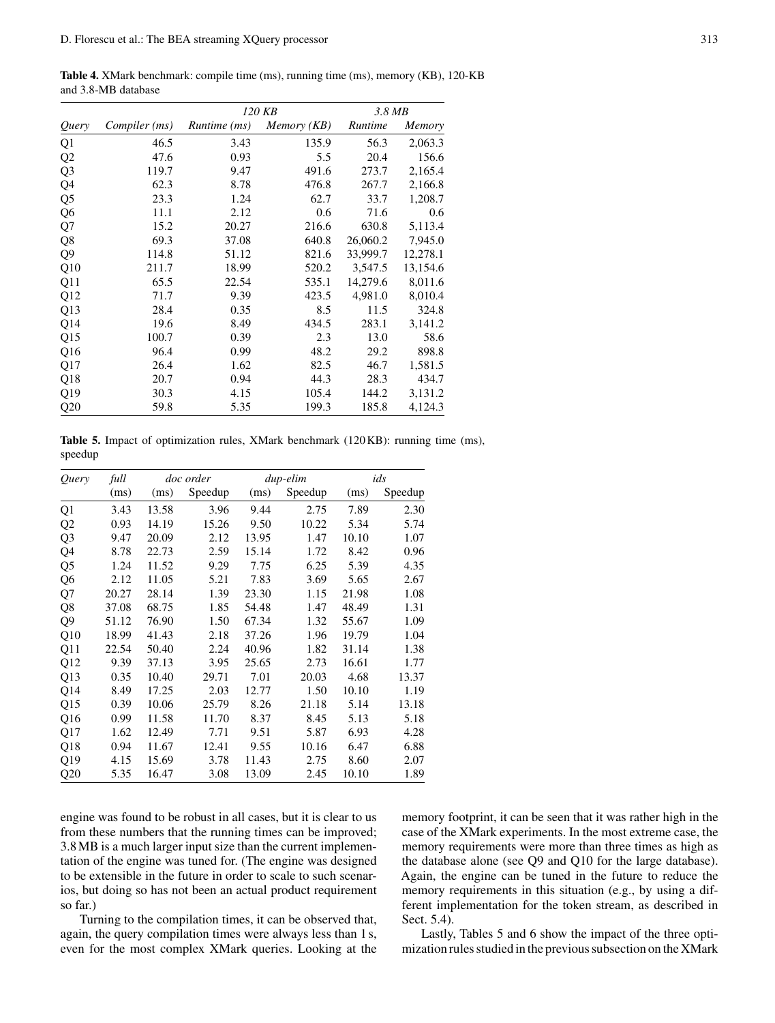**Table 4.** XMark benchmark: compile time (ms), running time (ms), memory (KB), 120-KB and 3.8-MB database

|                 |               |              | 120 KB<br>3.8MB |          |               |
|-----------------|---------------|--------------|-----------------|----------|---------------|
| Query           | Compiler (ms) | Runtime (ms) | Memory (KB)     | Runtime  | <b>Memory</b> |
| Q1              | 46.5          | 3.43         | 135.9           | 56.3     | 2,063.3       |
| Q <sub>2</sub>  | 47.6          | 0.93         | 5.5             | 20.4     | 156.6         |
| Q <sub>3</sub>  | 119.7         | 9.47         | 491.6           | 273.7    | 2,165.4       |
| Q4              | 62.3          | 8.78         | 476.8           | 267.7    | 2,166.8       |
| Q5              | 23.3          | 1.24         | 62.7            | 33.7     | 1,208.7       |
| Q <sub>6</sub>  | 11.1          | 2.12         | 0.6             | 71.6     | 0.6           |
| Q7              | 15.2          | 20.27        | 216.6           | 630.8    | 5,113.4       |
| Q8              | 69.3          | 37.08        | 640.8           | 26,060.2 | 7,945.0       |
| Q <sub>9</sub>  | 114.8         | 51.12        | 821.6           | 33,999.7 | 12,278.1      |
| Q10             | 211.7         | 18.99        | 520.2           | 3,547.5  | 13,154.6      |
| Q11             | 65.5          | 22.54        | 535.1           | 14,279.6 | 8,011.6       |
| Q12             | 71.7          | 9.39         | 423.5           | 4,981.0  | 8,010.4       |
| Q13             | 28.4          | 0.35         | 8.5             | 11.5     | 324.8         |
| Q14             | 19.6          | 8.49         | 434.5           | 283.1    | 3,141.2       |
| Q15             | 100.7         | 0.39         | 2.3             | 13.0     | 58.6          |
| Q16             | 96.4          | 0.99         | 48.2            | 29.2     | 898.8         |
| Q17             | 26.4          | 1.62         | 82.5            | 46.7     | 1,581.5       |
| Q <sub>18</sub> | 20.7          | 0.94         | 44.3            | 28.3     | 434.7         |
| Q19             | 30.3          | 4.15         | 105.4           | 144.2    | 3,131.2       |
| Q20             | 59.8          | 5.35         | 199.3           | 185.8    | 4,124.3       |

**Table 5.** Impact of optimization rules, XMark benchmark (120 KB): running time (ms), speedup

| Query           | full  |       | doc order | dup-elim |         | ids   |         |
|-----------------|-------|-------|-----------|----------|---------|-------|---------|
|                 | (ms)  | (ms)  | Speedup   | (ms)     | Speedup | (ms)  | Speedup |
| Q1              | 3.43  | 13.58 | 3.96      | 9.44     | 2.75    | 7.89  | 2.30    |
| Q <sub>2</sub>  | 0.93  | 14.19 | 15.26     | 9.50     | 10.22   | 5.34  | 5.74    |
| Q <sub>3</sub>  | 9.47  | 20.09 | 2.12      | 13.95    | 1.47    | 10.10 | 1.07    |
| Q4              | 8.78  | 22.73 | 2.59      | 15.14    | 1.72    | 8.42  | 0.96    |
| Q <sub>5</sub>  | 1.24  | 11.52 | 9.29      | 7.75     | 6.25    | 5.39  | 4.35    |
| Q <sub>6</sub>  | 2.12  | 11.05 | 5.21      | 7.83     | 3.69    | 5.65  | 2.67    |
| Q7              | 20.27 | 28.14 | 1.39      | 23.30    | 1.15    | 21.98 | 1.08    |
| Q8              | 37.08 | 68.75 | 1.85      | 54.48    | 1.47    | 48.49 | 1.31    |
| Q <sub>9</sub>  | 51.12 | 76.90 | 1.50      | 67.34    | 1.32    | 55.67 | 1.09    |
| Q10             | 18.99 | 41.43 | 2.18      | 37.26    | 1.96    | 19.79 | 1.04    |
| Q11             | 22.54 | 50.40 | 2.24      | 40.96    | 1.82    | 31.14 | 1.38    |
| Q12             | 9.39  | 37.13 | 3.95      | 25.65    | 2.73    | 16.61 | 1.77    |
| Q13             | 0.35  | 10.40 | 29.71     | 7.01     | 20.03   | 4.68  | 13.37   |
| Q <sub>14</sub> | 8.49  | 17.25 | 2.03      | 12.77    | 1.50    | 10.10 | 1.19    |
| Q15             | 0.39  | 10.06 | 25.79     | 8.26     | 21.18   | 5.14  | 13.18   |
| Q16             | 0.99  | 11.58 | 11.70     | 8.37     | 8.45    | 5.13  | 5.18    |
| Q17             | 1.62  | 12.49 | 7.71      | 9.51     | 5.87    | 6.93  | 4.28    |
| Q18             | 0.94  | 11.67 | 12.41     | 9.55     | 10.16   | 6.47  | 6.88    |
| Q19             | 4.15  | 15.69 | 3.78      | 11.43    | 2.75    | 8.60  | 2.07    |
| Q20             | 5.35  | 16.47 | 3.08      | 13.09    | 2.45    | 10.10 | 1.89    |

engine was found to be robust in all cases, but it is clear to us from these numbers that the running times can be improved; 3.8MB is a much larger input size than the current implementation of the engine was tuned for. (The engine was designed to be extensible in the future in order to scale to such scenarios, but doing so has not been an actual product requirement so far.)

Turning to the compilation times, it can be observed that, again, the query compilation times were always less than 1 s, even for the most complex XMark queries. Looking at the

memory footprint, it can be seen that it was rather high in the case of the XMark experiments. In the most extreme case, the memory requirements were more than three times as high as the database alone (see Q9 and Q10 for the large database). Again, the engine can be tuned in the future to reduce the memory requirements in this situation (e.g., by using a different implementation for the token stream, as described in Sect. 5.4).

Lastly, Tables 5 and 6 show the impact of the three optimization rules studied in the previous subsection on the XMark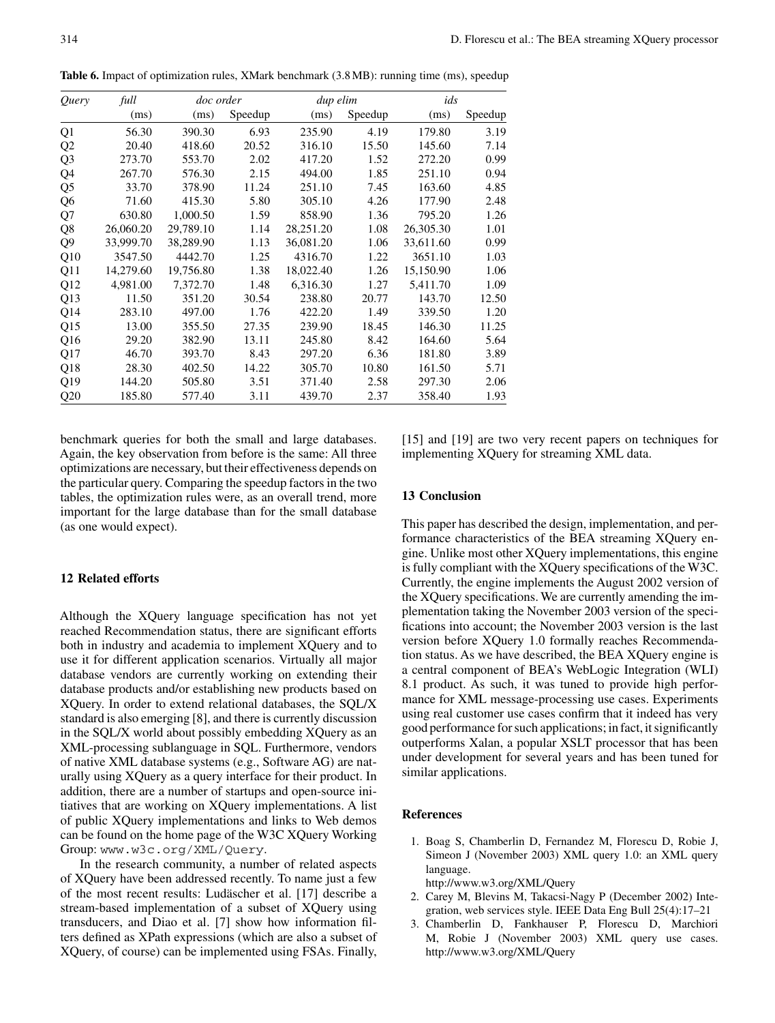**Table 6.** Impact of optimization rules, XMark benchmark (3.8MB): running time (ms), speedup

| Query          | full      | doc order |         | ids<br>dup elim |         |           |         |
|----------------|-----------|-----------|---------|-----------------|---------|-----------|---------|
|                | (ms)      | (ms)      | Speedup | (ms)            | Speedup | (ms)      | Speedup |
| Q <sub>1</sub> | 56.30     | 390.30    | 6.93    | 235.90          | 4.19    | 179.80    | 3.19    |
| Q <sub>2</sub> | 20.40     | 418.60    | 20.52   | 316.10          | 15.50   | 145.60    | 7.14    |
| Q <sub>3</sub> | 273.70    | 553.70    | 2.02    | 417.20          | 1.52    | 272.20    | 0.99    |
| Q4             | 267.70    | 576.30    | 2.15    | 494.00          | 1.85    | 251.10    | 0.94    |
| Q <sub>5</sub> | 33.70     | 378.90    | 11.24   | 251.10          | 7.45    | 163.60    | 4.85    |
| Q <sub>6</sub> | 71.60     | 415.30    | 5.80    | 305.10          | 4.26    | 177.90    | 2.48    |
| Q7             | 630.80    | 1,000.50  | 1.59    | 858.90          | 1.36    | 795.20    | 1.26    |
| Q8             | 26,060.20 | 29,789.10 | 1.14    | 28,251.20       | 1.08    | 26,305.30 | 1.01    |
| Q <sub>9</sub> | 33,999.70 | 38,289.90 | 1.13    | 36,081.20       | 1.06    | 33,611.60 | 0.99    |
| Q10            | 3547.50   | 4442.70   | 1.25    | 4316.70         | 1.22    | 3651.10   | 1.03    |
| Q11            | 14,279.60 | 19,756.80 | 1.38    | 18,022.40       | 1.26    | 15,150.90 | 1.06    |
| Q12            | 4,981.00  | 7,372.70  | 1.48    | 6,316.30        | 1.27    | 5,411.70  | 1.09    |
| Q13            | 11.50     | 351.20    | 30.54   | 238.80          | 20.77   | 143.70    | 12.50   |
| Q14            | 283.10    | 497.00    | 1.76    | 422.20          | 1.49    | 339.50    | 1.20    |
| Q15            | 13.00     | 355.50    | 27.35   | 239.90          | 18.45   | 146.30    | 11.25   |
| Q16            | 29.20     | 382.90    | 13.11   | 245.80          | 8.42    | 164.60    | 5.64    |
| Q17            | 46.70     | 393.70    | 8.43    | 297.20          | 6.36    | 181.80    | 3.89    |
| Q18            | 28.30     | 402.50    | 14.22   | 305.70          | 10.80   | 161.50    | 5.71    |
| Q19            | 144.20    | 505.80    | 3.51    | 371.40          | 2.58    | 297.30    | 2.06    |
| Q20            | 185.80    | 577.40    | 3.11    | 439.70          | 2.37    | 358.40    | 1.93    |

benchmark queries for both the small and large databases. Again, the key observation from before is the same: All three optimizations are necessary, but their effectiveness depends on the particular query. Comparing the speedup factors in the two tables, the optimization rules were, as an overall trend, more important for the large database than for the small database (as one would expect).

#### **12 Related efforts**

Although the XQuery language specification has not yet reached Recommendation status, there are significant efforts both in industry and academia to implement XQuery and to use it for different application scenarios. Virtually all major database vendors are currently working on extending their database products and/or establishing new products based on XQuery. In order to extend relational databases, the SQL/X standard is also emerging [8], and there is currently discussion in the SQL/X world about possibly embedding XQuery as an XML-processing sublanguage in SQL. Furthermore, vendors of native XML database systems (e.g., Software AG) are naturally using XQuery as a query interface for their product. In addition, there are a number of startups and open-source initiatives that are working on XQuery implementations. A list of public XQuery implementations and links to Web demos can be found on the home page of the W3C XQuery Working Group: www.w3c.org/XML/Query.

In the research community, a number of related aspects of XQuery have been addressed recently. To name just a few of the most recent results: Ludäscher et al. [17] describe a stream-based implementation of a subset of XQuery using transducers, and Diao et al. [7] show how information filters defined as XPath expressions (which are also a subset of XQuery, of course) can be implemented using FSAs. Finally,

[15] and [19] are two very recent papers on techniques for implementing XQuery for streaming XML data.

### **13 Conclusion**

This paper has described the design, implementation, and performance characteristics of the BEA streaming XQuery engine. Unlike most other XQuery implementations, this engine is fully compliant with the XQuery specifications of the W3C. Currently, the engine implements the August 2002 version of the XQuery specifications. We are currently amending the implementation taking the November 2003 version of the specifications into account; the November 2003 version is the last version before XQuery 1.0 formally reaches Recommendation status. As we have described, the BEA XQuery engine is a central component of BEA's WebLogic Integration (WLI) 8.1 product. As such, it was tuned to provide high performance for XML message-processing use cases. Experiments using real customer use cases confirm that it indeed has very good performance for such applications; in fact, it significantly outperforms Xalan, a popular XSLT processor that has been under development for several years and has been tuned for similar applications.

# **References**

1. Boag S, Chamberlin D, Fernandez M, Florescu D, Robie J, Simeon J (November 2003) XML query 1.0: an XML query language.

http://www.w3.org/XML/Query

- 2. Carey M, Blevins M, Takacsi-Nagy P (December 2002) Integration, web services style. IEEE Data Eng Bull 25(4):17–21
- 3. Chamberlin D, Fankhauser P, Florescu D, Marchiori M, Robie J (November 2003) XML query use cases. http://www.w3.org/XML/Query